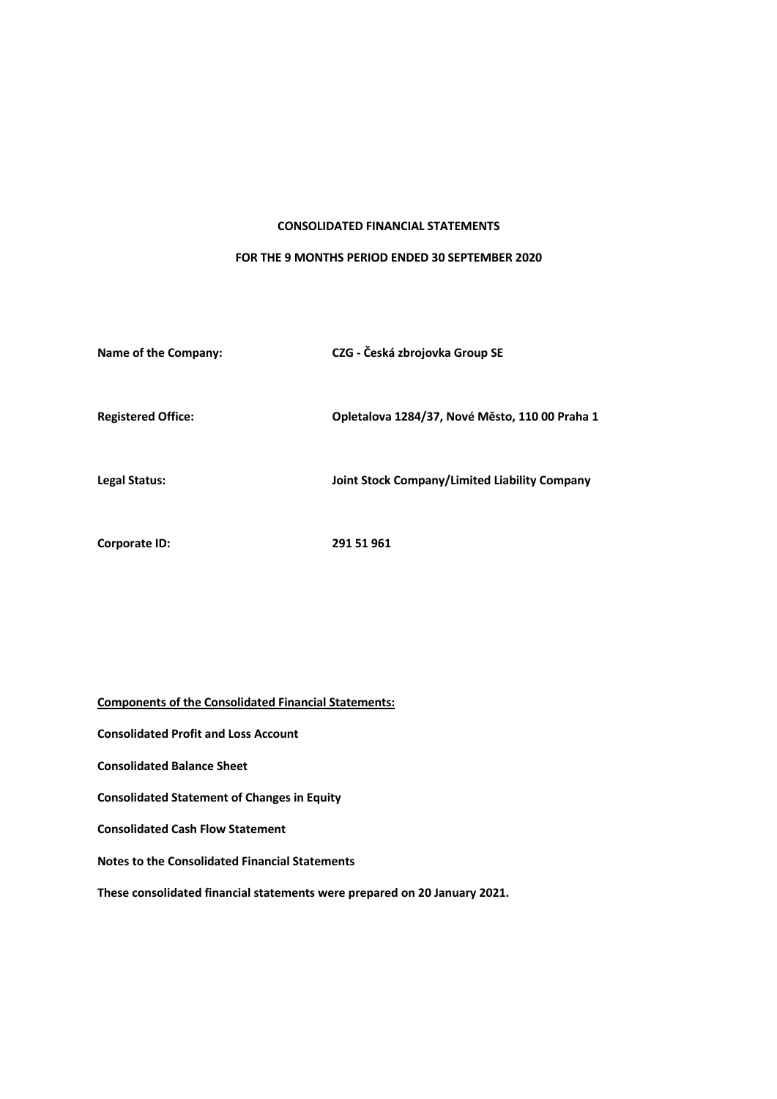### **CONSOLIDATED FINANCIAL STATEMENTS**

### **FOR THE 9 MONTHS PERIOD ENDED 30 SEPTEMBER 2020**

| Name of the Company:      | CZG - Česká zbrojovka Group SE                 |
|---------------------------|------------------------------------------------|
| <b>Registered Office:</b> | Opletalova 1284/37, Nové Město, 110 00 Praha 1 |
| Legal Status:             | Joint Stock Company/Limited Liability Company  |
| Corporate ID:             | 291 51 961                                     |

**Components of the Consolidated Financial Statements: Consolidated Profit and Loss Account Consolidated Balance Sheet Consolidated Statement of Changes in Equity Consolidated Cash Flow Statement Notes to the Consolidated Financial Statements These consolidated financial statements were prepared on 20 January 2021.**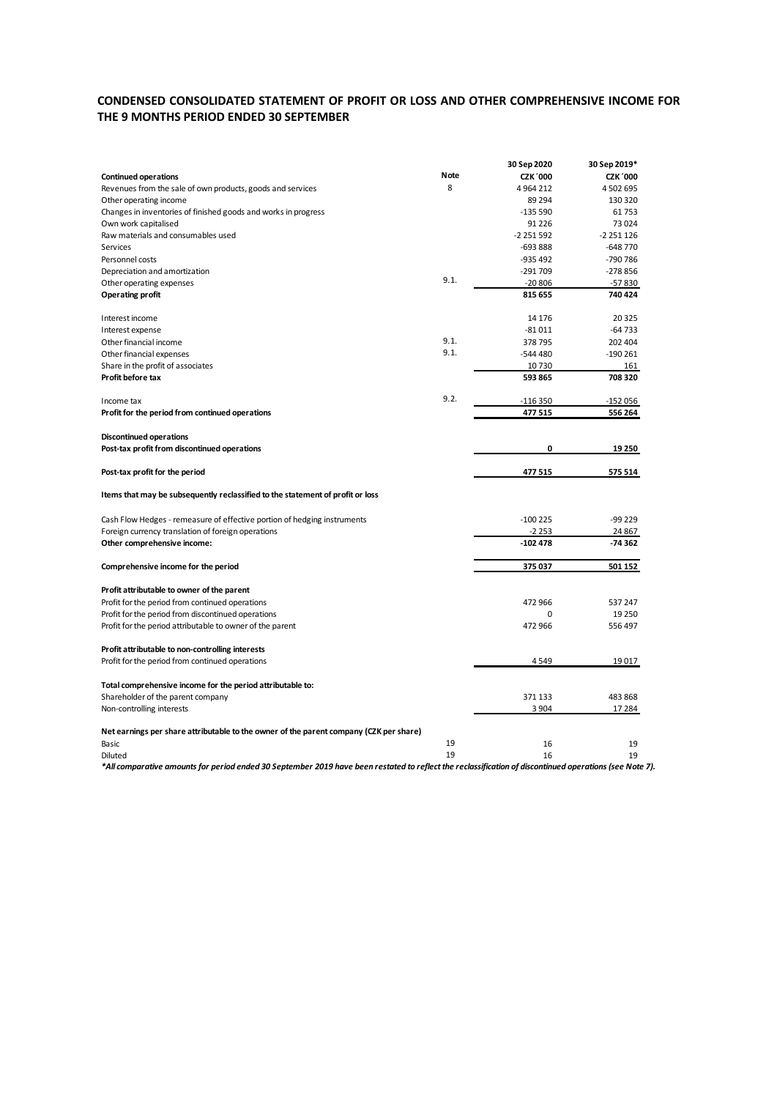## **CONDENSED CONSOLIDATED STATEMENT OF PROFIT OR LOSS AND OTHER COMPREHENSIVE INCOME FOR THE 9 MONTHS PERIOD ENDED 30 SEPTEMBER**

| Note<br><b>CZK '000</b><br><b>Continued operations</b><br><b>CZK '000</b><br>8<br>4 502 695<br>Revenues from the sale of own products, goods and services<br>4964212<br>Other operating income<br>89 294<br>130 320<br>Changes in inventories of finished goods and works in progress<br>$-135590$<br>61753<br>Own work capitalised<br>91 2 2 6<br>73024<br>Raw materials and consumables used<br>$-2251592$<br>$-2251126$<br>Services<br>$-648770$<br>-693 888<br>-790 786<br>Personnel costs<br>-935 492<br>$-291709$<br>$-278856$<br>Depreciation and amortization<br>9.1.<br>Other operating expenses<br>$-20806$<br>-57830<br>740 424<br><b>Operating profit</b><br>815 655<br>14 17 6<br>20 3 25<br>Interest income<br>$-64733$<br>$-81011$<br>Interest expense<br>9.1.<br>378795<br>202 404<br>Other financial income<br>9.1.<br>Other financial expenses<br>$-544480$<br>$-190261$<br>Share in the profit of associates<br>10730<br>161<br>Profit before tax<br>708 320<br>593 865<br>9.2.<br>-116 350<br>$-152056$<br>Income tax<br>Profit for the period from continued operations<br>477515<br>556 264<br><b>Discontinued operations</b><br>0<br>Post-tax profit from discontinued operations<br>19 250<br>Post-tax profit for the period<br>477515<br>575 514<br>Items that may be subsequently reclassified to the statement of profit or loss<br>Cash Flow Hedges - remeasure of effective portion of hedging instruments<br>$-100225$<br>-99 229<br>$-2253$<br>Foreign currency translation of foreign operations<br>24 867<br>$-102478$<br>Other comprehensive income:<br>-74 362<br>375 037<br>501 152<br>Comprehensive income for the period<br>Profit attributable to owner of the parent<br>472 966<br>Profit for the period from continued operations<br>537 247<br>Profit for the period from discontinued operations<br>0<br>19 250<br>Profit for the period attributable to owner of the parent<br>472 966<br>556 497<br>Profit attributable to non-controlling interests<br>Profit for the period from continued operations<br>4549<br>19017<br>Total comprehensive income for the period attributable to:<br>371 133<br>Shareholder of the parent company<br>483868<br>Non-controlling interests<br>3 9 0 4<br>17 284<br>Net earnings per share attributable to the owner of the parent company (CZK per share)<br>19<br>Basic<br>16<br>19<br>19<br>16<br>19<br>Diluted |  | 30 Sep 2020 | 30 Sep 2019* |
|---------------------------------------------------------------------------------------------------------------------------------------------------------------------------------------------------------------------------------------------------------------------------------------------------------------------------------------------------------------------------------------------------------------------------------------------------------------------------------------------------------------------------------------------------------------------------------------------------------------------------------------------------------------------------------------------------------------------------------------------------------------------------------------------------------------------------------------------------------------------------------------------------------------------------------------------------------------------------------------------------------------------------------------------------------------------------------------------------------------------------------------------------------------------------------------------------------------------------------------------------------------------------------------------------------------------------------------------------------------------------------------------------------------------------------------------------------------------------------------------------------------------------------------------------------------------------------------------------------------------------------------------------------------------------------------------------------------------------------------------------------------------------------------------------------------------------------------------------------------------------------------------------------------------------------------------------------------------------------------------------------------------------------------------------------------------------------------------------------------------------------------------------------------------------------------------------------------------------------------------------------------------------------------------------------------------------------------------------------------------------------------------------|--|-------------|--------------|
|                                                                                                                                                                                                                                                                                                                                                                                                                                                                                                                                                                                                                                                                                                                                                                                                                                                                                                                                                                                                                                                                                                                                                                                                                                                                                                                                                                                                                                                                                                                                                                                                                                                                                                                                                                                                                                                                                                                                                                                                                                                                                                                                                                                                                                                                                                                                                                                                   |  |             |              |
|                                                                                                                                                                                                                                                                                                                                                                                                                                                                                                                                                                                                                                                                                                                                                                                                                                                                                                                                                                                                                                                                                                                                                                                                                                                                                                                                                                                                                                                                                                                                                                                                                                                                                                                                                                                                                                                                                                                                                                                                                                                                                                                                                                                                                                                                                                                                                                                                   |  |             |              |
|                                                                                                                                                                                                                                                                                                                                                                                                                                                                                                                                                                                                                                                                                                                                                                                                                                                                                                                                                                                                                                                                                                                                                                                                                                                                                                                                                                                                                                                                                                                                                                                                                                                                                                                                                                                                                                                                                                                                                                                                                                                                                                                                                                                                                                                                                                                                                                                                   |  |             |              |
|                                                                                                                                                                                                                                                                                                                                                                                                                                                                                                                                                                                                                                                                                                                                                                                                                                                                                                                                                                                                                                                                                                                                                                                                                                                                                                                                                                                                                                                                                                                                                                                                                                                                                                                                                                                                                                                                                                                                                                                                                                                                                                                                                                                                                                                                                                                                                                                                   |  |             |              |
|                                                                                                                                                                                                                                                                                                                                                                                                                                                                                                                                                                                                                                                                                                                                                                                                                                                                                                                                                                                                                                                                                                                                                                                                                                                                                                                                                                                                                                                                                                                                                                                                                                                                                                                                                                                                                                                                                                                                                                                                                                                                                                                                                                                                                                                                                                                                                                                                   |  |             |              |
|                                                                                                                                                                                                                                                                                                                                                                                                                                                                                                                                                                                                                                                                                                                                                                                                                                                                                                                                                                                                                                                                                                                                                                                                                                                                                                                                                                                                                                                                                                                                                                                                                                                                                                                                                                                                                                                                                                                                                                                                                                                                                                                                                                                                                                                                                                                                                                                                   |  |             |              |
|                                                                                                                                                                                                                                                                                                                                                                                                                                                                                                                                                                                                                                                                                                                                                                                                                                                                                                                                                                                                                                                                                                                                                                                                                                                                                                                                                                                                                                                                                                                                                                                                                                                                                                                                                                                                                                                                                                                                                                                                                                                                                                                                                                                                                                                                                                                                                                                                   |  |             |              |
|                                                                                                                                                                                                                                                                                                                                                                                                                                                                                                                                                                                                                                                                                                                                                                                                                                                                                                                                                                                                                                                                                                                                                                                                                                                                                                                                                                                                                                                                                                                                                                                                                                                                                                                                                                                                                                                                                                                                                                                                                                                                                                                                                                                                                                                                                                                                                                                                   |  |             |              |
|                                                                                                                                                                                                                                                                                                                                                                                                                                                                                                                                                                                                                                                                                                                                                                                                                                                                                                                                                                                                                                                                                                                                                                                                                                                                                                                                                                                                                                                                                                                                                                                                                                                                                                                                                                                                                                                                                                                                                                                                                                                                                                                                                                                                                                                                                                                                                                                                   |  |             |              |
|                                                                                                                                                                                                                                                                                                                                                                                                                                                                                                                                                                                                                                                                                                                                                                                                                                                                                                                                                                                                                                                                                                                                                                                                                                                                                                                                                                                                                                                                                                                                                                                                                                                                                                                                                                                                                                                                                                                                                                                                                                                                                                                                                                                                                                                                                                                                                                                                   |  |             |              |
|                                                                                                                                                                                                                                                                                                                                                                                                                                                                                                                                                                                                                                                                                                                                                                                                                                                                                                                                                                                                                                                                                                                                                                                                                                                                                                                                                                                                                                                                                                                                                                                                                                                                                                                                                                                                                                                                                                                                                                                                                                                                                                                                                                                                                                                                                                                                                                                                   |  |             |              |
|                                                                                                                                                                                                                                                                                                                                                                                                                                                                                                                                                                                                                                                                                                                                                                                                                                                                                                                                                                                                                                                                                                                                                                                                                                                                                                                                                                                                                                                                                                                                                                                                                                                                                                                                                                                                                                                                                                                                                                                                                                                                                                                                                                                                                                                                                                                                                                                                   |  |             |              |
|                                                                                                                                                                                                                                                                                                                                                                                                                                                                                                                                                                                                                                                                                                                                                                                                                                                                                                                                                                                                                                                                                                                                                                                                                                                                                                                                                                                                                                                                                                                                                                                                                                                                                                                                                                                                                                                                                                                                                                                                                                                                                                                                                                                                                                                                                                                                                                                                   |  |             |              |
|                                                                                                                                                                                                                                                                                                                                                                                                                                                                                                                                                                                                                                                                                                                                                                                                                                                                                                                                                                                                                                                                                                                                                                                                                                                                                                                                                                                                                                                                                                                                                                                                                                                                                                                                                                                                                                                                                                                                                                                                                                                                                                                                                                                                                                                                                                                                                                                                   |  |             |              |
|                                                                                                                                                                                                                                                                                                                                                                                                                                                                                                                                                                                                                                                                                                                                                                                                                                                                                                                                                                                                                                                                                                                                                                                                                                                                                                                                                                                                                                                                                                                                                                                                                                                                                                                                                                                                                                                                                                                                                                                                                                                                                                                                                                                                                                                                                                                                                                                                   |  |             |              |
|                                                                                                                                                                                                                                                                                                                                                                                                                                                                                                                                                                                                                                                                                                                                                                                                                                                                                                                                                                                                                                                                                                                                                                                                                                                                                                                                                                                                                                                                                                                                                                                                                                                                                                                                                                                                                                                                                                                                                                                                                                                                                                                                                                                                                                                                                                                                                                                                   |  |             |              |
|                                                                                                                                                                                                                                                                                                                                                                                                                                                                                                                                                                                                                                                                                                                                                                                                                                                                                                                                                                                                                                                                                                                                                                                                                                                                                                                                                                                                                                                                                                                                                                                                                                                                                                                                                                                                                                                                                                                                                                                                                                                                                                                                                                                                                                                                                                                                                                                                   |  |             |              |
|                                                                                                                                                                                                                                                                                                                                                                                                                                                                                                                                                                                                                                                                                                                                                                                                                                                                                                                                                                                                                                                                                                                                                                                                                                                                                                                                                                                                                                                                                                                                                                                                                                                                                                                                                                                                                                                                                                                                                                                                                                                                                                                                                                                                                                                                                                                                                                                                   |  |             |              |
|                                                                                                                                                                                                                                                                                                                                                                                                                                                                                                                                                                                                                                                                                                                                                                                                                                                                                                                                                                                                                                                                                                                                                                                                                                                                                                                                                                                                                                                                                                                                                                                                                                                                                                                                                                                                                                                                                                                                                                                                                                                                                                                                                                                                                                                                                                                                                                                                   |  |             |              |
|                                                                                                                                                                                                                                                                                                                                                                                                                                                                                                                                                                                                                                                                                                                                                                                                                                                                                                                                                                                                                                                                                                                                                                                                                                                                                                                                                                                                                                                                                                                                                                                                                                                                                                                                                                                                                                                                                                                                                                                                                                                                                                                                                                                                                                                                                                                                                                                                   |  |             |              |
|                                                                                                                                                                                                                                                                                                                                                                                                                                                                                                                                                                                                                                                                                                                                                                                                                                                                                                                                                                                                                                                                                                                                                                                                                                                                                                                                                                                                                                                                                                                                                                                                                                                                                                                                                                                                                                                                                                                                                                                                                                                                                                                                                                                                                                                                                                                                                                                                   |  |             |              |
|                                                                                                                                                                                                                                                                                                                                                                                                                                                                                                                                                                                                                                                                                                                                                                                                                                                                                                                                                                                                                                                                                                                                                                                                                                                                                                                                                                                                                                                                                                                                                                                                                                                                                                                                                                                                                                                                                                                                                                                                                                                                                                                                                                                                                                                                                                                                                                                                   |  |             |              |
|                                                                                                                                                                                                                                                                                                                                                                                                                                                                                                                                                                                                                                                                                                                                                                                                                                                                                                                                                                                                                                                                                                                                                                                                                                                                                                                                                                                                                                                                                                                                                                                                                                                                                                                                                                                                                                                                                                                                                                                                                                                                                                                                                                                                                                                                                                                                                                                                   |  |             |              |
|                                                                                                                                                                                                                                                                                                                                                                                                                                                                                                                                                                                                                                                                                                                                                                                                                                                                                                                                                                                                                                                                                                                                                                                                                                                                                                                                                                                                                                                                                                                                                                                                                                                                                                                                                                                                                                                                                                                                                                                                                                                                                                                                                                                                                                                                                                                                                                                                   |  |             |              |
|                                                                                                                                                                                                                                                                                                                                                                                                                                                                                                                                                                                                                                                                                                                                                                                                                                                                                                                                                                                                                                                                                                                                                                                                                                                                                                                                                                                                                                                                                                                                                                                                                                                                                                                                                                                                                                                                                                                                                                                                                                                                                                                                                                                                                                                                                                                                                                                                   |  |             |              |
|                                                                                                                                                                                                                                                                                                                                                                                                                                                                                                                                                                                                                                                                                                                                                                                                                                                                                                                                                                                                                                                                                                                                                                                                                                                                                                                                                                                                                                                                                                                                                                                                                                                                                                                                                                                                                                                                                                                                                                                                                                                                                                                                                                                                                                                                                                                                                                                                   |  |             |              |
|                                                                                                                                                                                                                                                                                                                                                                                                                                                                                                                                                                                                                                                                                                                                                                                                                                                                                                                                                                                                                                                                                                                                                                                                                                                                                                                                                                                                                                                                                                                                                                                                                                                                                                                                                                                                                                                                                                                                                                                                                                                                                                                                                                                                                                                                                                                                                                                                   |  |             |              |
|                                                                                                                                                                                                                                                                                                                                                                                                                                                                                                                                                                                                                                                                                                                                                                                                                                                                                                                                                                                                                                                                                                                                                                                                                                                                                                                                                                                                                                                                                                                                                                                                                                                                                                                                                                                                                                                                                                                                                                                                                                                                                                                                                                                                                                                                                                                                                                                                   |  |             |              |
|                                                                                                                                                                                                                                                                                                                                                                                                                                                                                                                                                                                                                                                                                                                                                                                                                                                                                                                                                                                                                                                                                                                                                                                                                                                                                                                                                                                                                                                                                                                                                                                                                                                                                                                                                                                                                                                                                                                                                                                                                                                                                                                                                                                                                                                                                                                                                                                                   |  |             |              |
|                                                                                                                                                                                                                                                                                                                                                                                                                                                                                                                                                                                                                                                                                                                                                                                                                                                                                                                                                                                                                                                                                                                                                                                                                                                                                                                                                                                                                                                                                                                                                                                                                                                                                                                                                                                                                                                                                                                                                                                                                                                                                                                                                                                                                                                                                                                                                                                                   |  |             |              |
|                                                                                                                                                                                                                                                                                                                                                                                                                                                                                                                                                                                                                                                                                                                                                                                                                                                                                                                                                                                                                                                                                                                                                                                                                                                                                                                                                                                                                                                                                                                                                                                                                                                                                                                                                                                                                                                                                                                                                                                                                                                                                                                                                                                                                                                                                                                                                                                                   |  |             |              |
|                                                                                                                                                                                                                                                                                                                                                                                                                                                                                                                                                                                                                                                                                                                                                                                                                                                                                                                                                                                                                                                                                                                                                                                                                                                                                                                                                                                                                                                                                                                                                                                                                                                                                                                                                                                                                                                                                                                                                                                                                                                                                                                                                                                                                                                                                                                                                                                                   |  |             |              |
|                                                                                                                                                                                                                                                                                                                                                                                                                                                                                                                                                                                                                                                                                                                                                                                                                                                                                                                                                                                                                                                                                                                                                                                                                                                                                                                                                                                                                                                                                                                                                                                                                                                                                                                                                                                                                                                                                                                                                                                                                                                                                                                                                                                                                                                                                                                                                                                                   |  |             |              |
|                                                                                                                                                                                                                                                                                                                                                                                                                                                                                                                                                                                                                                                                                                                                                                                                                                                                                                                                                                                                                                                                                                                                                                                                                                                                                                                                                                                                                                                                                                                                                                                                                                                                                                                                                                                                                                                                                                                                                                                                                                                                                                                                                                                                                                                                                                                                                                                                   |  |             |              |
|                                                                                                                                                                                                                                                                                                                                                                                                                                                                                                                                                                                                                                                                                                                                                                                                                                                                                                                                                                                                                                                                                                                                                                                                                                                                                                                                                                                                                                                                                                                                                                                                                                                                                                                                                                                                                                                                                                                                                                                                                                                                                                                                                                                                                                                                                                                                                                                                   |  |             |              |
|                                                                                                                                                                                                                                                                                                                                                                                                                                                                                                                                                                                                                                                                                                                                                                                                                                                                                                                                                                                                                                                                                                                                                                                                                                                                                                                                                                                                                                                                                                                                                                                                                                                                                                                                                                                                                                                                                                                                                                                                                                                                                                                                                                                                                                                                                                                                                                                                   |  |             |              |
|                                                                                                                                                                                                                                                                                                                                                                                                                                                                                                                                                                                                                                                                                                                                                                                                                                                                                                                                                                                                                                                                                                                                                                                                                                                                                                                                                                                                                                                                                                                                                                                                                                                                                                                                                                                                                                                                                                                                                                                                                                                                                                                                                                                                                                                                                                                                                                                                   |  |             |              |
|                                                                                                                                                                                                                                                                                                                                                                                                                                                                                                                                                                                                                                                                                                                                                                                                                                                                                                                                                                                                                                                                                                                                                                                                                                                                                                                                                                                                                                                                                                                                                                                                                                                                                                                                                                                                                                                                                                                                                                                                                                                                                                                                                                                                                                                                                                                                                                                                   |  |             |              |
|                                                                                                                                                                                                                                                                                                                                                                                                                                                                                                                                                                                                                                                                                                                                                                                                                                                                                                                                                                                                                                                                                                                                                                                                                                                                                                                                                                                                                                                                                                                                                                                                                                                                                                                                                                                                                                                                                                                                                                                                                                                                                                                                                                                                                                                                                                                                                                                                   |  |             |              |
|                                                                                                                                                                                                                                                                                                                                                                                                                                                                                                                                                                                                                                                                                                                                                                                                                                                                                                                                                                                                                                                                                                                                                                                                                                                                                                                                                                                                                                                                                                                                                                                                                                                                                                                                                                                                                                                                                                                                                                                                                                                                                                                                                                                                                                                                                                                                                                                                   |  |             |              |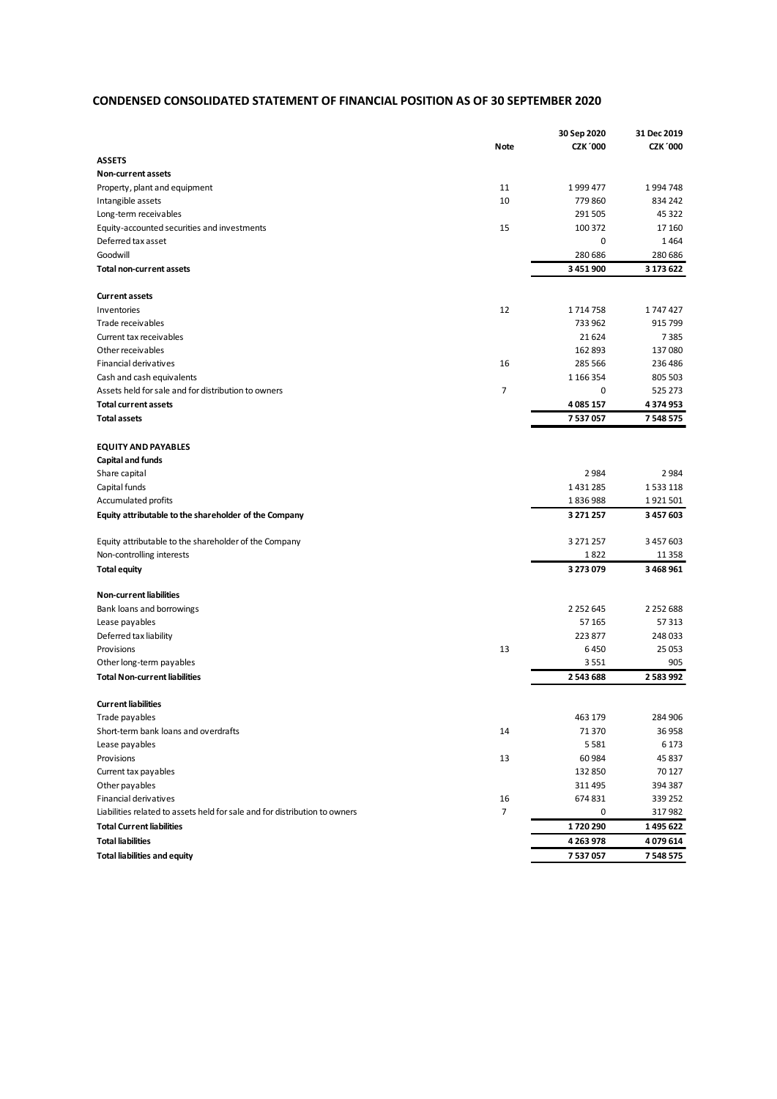# **CONDENSED CONSOLIDATED STATEMENT OF FINANCIAL POSITION AS OF 30 SEPTEMBER 2020**

|                                                                            |                | 30 Sep 2020     | 31 Dec 2019     |
|----------------------------------------------------------------------------|----------------|-----------------|-----------------|
|                                                                            | <b>Note</b>    | <b>CZK '000</b> | <b>CZK '000</b> |
| <b>ASSETS</b>                                                              |                |                 |                 |
| Non-current assets                                                         |                |                 |                 |
| Property, plant and equipment                                              | 11             | 1999 477        | 1994748         |
| Intangible assets                                                          | 10             | 779 860         | 834 242         |
| Long-term receivables                                                      |                | 291 505         | 45 322          |
| Equity-accounted securities and investments                                | 15             | 100 372         | 17 160          |
| Deferred tax asset                                                         |                | 0               | 1464            |
| Goodwill                                                                   |                | 280 686         | 280 686         |
| <b>Total non-current assets</b>                                            |                | 3 451 900       | 3 173 622       |
|                                                                            |                |                 |                 |
| <b>Current assets</b>                                                      |                |                 |                 |
| Inventories                                                                | 12             | 1714758         | 1747427         |
| Trade receivables                                                          |                | 733 962         | 915 799         |
| Current tax receivables                                                    |                | 21 6 24         | 7385            |
| Other receivables                                                          |                | 162 893         | 137080          |
| Financial derivatives                                                      | 16             | 285 566         | 236 486         |
| Cash and cash equivalents                                                  |                | 1 1 6 3 3 5 4   | 805 503         |
| Assets held for sale and for distribution to owners                        | $\overline{7}$ | 0               | 525 273         |
| <b>Total current assets</b>                                                |                | 4085157         | 4374953         |
|                                                                            |                |                 |                 |
| <b>Total assets</b>                                                        |                | 7537057         | 7548575         |
|                                                                            |                |                 |                 |
| <b>EQUITY AND PAYABLES</b>                                                 |                |                 |                 |
| Capital and funds                                                          |                |                 |                 |
| Share capital                                                              |                | 2 9 8 4         | 2984            |
| Capital funds                                                              |                | 1431285         | 1533118         |
| Accumulated profits                                                        |                | 1836988         | 1921501         |
| Equity attributable to the shareholder of the Company                      |                | 3 271 257       | 3 457 603       |
|                                                                            |                |                 |                 |
| Equity attributable to the shareholder of the Company                      |                | 3 271 257       | 3 457 603       |
| Non-controlling interests                                                  |                | 1822            | 11 3 58         |
| <b>Total equity</b>                                                        |                | 3 273 079       | 3 468 961       |
|                                                                            |                |                 |                 |
| <b>Non-current liabilities</b>                                             |                |                 |                 |
| Bank loans and borrowings                                                  |                | 2 2 5 2 6 4 5   | 2 2 5 2 6 8 8   |
| Lease payables                                                             |                | 57 165          | 57 313          |
| Deferred tax liability                                                     |                | 223 877         | 248 033         |
| Provisions                                                                 | 13             | 6450            | 25 053          |
| Other long-term payables                                                   |                | 3551            | 905             |
| <b>Total Non-current liabilities</b>                                       |                | 2543688         | 2 5 8 3 9 9 2   |
|                                                                            |                |                 |                 |
| <b>Current liabilities</b>                                                 |                |                 |                 |
| Trade payables                                                             |                | 463 179         | 284 906         |
| Short-term bank loans and overdrafts                                       | 14             | 71 370          | 36 958          |
| Lease payables                                                             |                | 5581            | 6 1 7 3         |
| Provisions                                                                 | 13             | 60 984          | 45 837          |
| Current tax payables                                                       |                | 132 850         | 70 127          |
| Other payables                                                             |                | 311 495         | 394 387         |
| Financial derivatives                                                      | 16             | 674 831         | 339 252         |
| Liabilities related to assets held for sale and for distribution to owners | $\overline{7}$ | 0               | 317982          |
| <b>Total Current liabilities</b>                                           |                | 1720290         | 1495622         |
| <b>Total liabilities</b>                                                   |                | 4 2 6 3 9 7 8   | 4079614         |
| <b>Total liabilities and equity</b>                                        |                | 7537057         | 7 548 575       |
|                                                                            |                |                 |                 |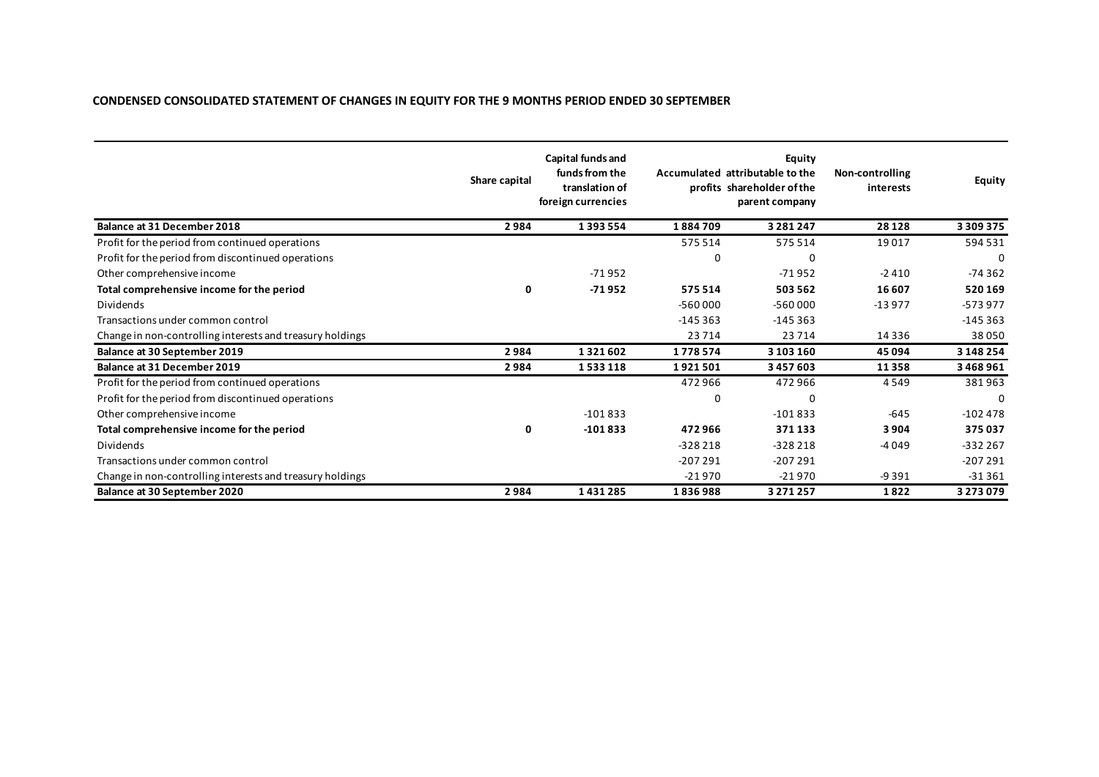# **CONDENSED CONSOLIDATED STATEMENT OF CHANGES IN EQUITY FOR THE 9 MONTHS PERIOD ENDED 30 SEPTEMBER**

|                                                           | Share capital | Capital funds and<br>funds from the<br>translation of<br>foreign currencies |           | Equity<br>Accumulated attributable to the<br>profits shareholder of the<br>parent company | Non-controlling<br>interests | <b>Equity</b> |
|-----------------------------------------------------------|---------------|-----------------------------------------------------------------------------|-----------|-------------------------------------------------------------------------------------------|------------------------------|---------------|
| <b>Balance at 31 December 2018</b>                        | 2984          | 1393554                                                                     | 1884709   | 3 2 8 1 2 4 7                                                                             | 28 1 28                      | 3 3 0 9 3 7 5 |
| Profit for the period from continued operations           |               |                                                                             | 575514    | 575 514                                                                                   | 19017                        | 594 531       |
| Profit for the period from discontinued operations        |               |                                                                             |           | 0                                                                                         |                              | 0             |
| Other comprehensive income                                |               | $-71952$                                                                    |           | $-71952$                                                                                  | $-2410$                      | $-74362$      |
| Total comprehensive income for the period                 | 0             | $-71952$                                                                    | 575514    | 503 562                                                                                   | 16 607                       | 520169        |
| <b>Dividends</b>                                          |               |                                                                             | $-560000$ | $-560000$                                                                                 | $-13977$                     | $-573977$     |
| Transactions under common control                         |               |                                                                             | $-145363$ | $-145363$                                                                                 |                              | $-145363$     |
| Change in non-controlling interests and treasury holdings |               |                                                                             | 23714     | 23714                                                                                     | 14 3 3 6                     | 38050         |
| Balance at 30 September 2019                              | 2984          | 1321602                                                                     | 1778574   | 3 103 160                                                                                 | 45 094                       | 3 148 254     |
| <b>Balance at 31 December 2019</b>                        | 2984          | 1533118                                                                     | 1921501   | 3457603                                                                                   | 11358                        | 3468961       |
| Profit for the period from continued operations           |               |                                                                             | 472966    | 472966                                                                                    | 4549                         | 381963        |
| Profit for the period from discontinued operations        |               |                                                                             | $\Omega$  | 0                                                                                         |                              | $\Omega$      |
| Other comprehensive income                                |               | $-101833$                                                                   |           | $-101833$                                                                                 | $-645$                       | $-102478$     |
| Total comprehensive income for the period                 | 0             | $-101833$                                                                   | 472966    | 371133                                                                                    | 3904                         | 375037        |
| Dividends                                                 |               |                                                                             | $-328218$ | $-328218$                                                                                 | $-4049$                      | $-332267$     |
| Transactions under common control                         |               |                                                                             | $-207291$ | $-207291$                                                                                 |                              | $-207291$     |
| Change in non-controlling interests and treasury holdings |               |                                                                             | $-21970$  | $-21970$                                                                                  | $-9391$                      | $-31361$      |
| <b>Balance at 30 September 2020</b>                       | 2984          | 1431285                                                                     | 1836988   | 3 2 7 1 2 5 7                                                                             | 1822                         | 3 2 7 3 0 7 9 |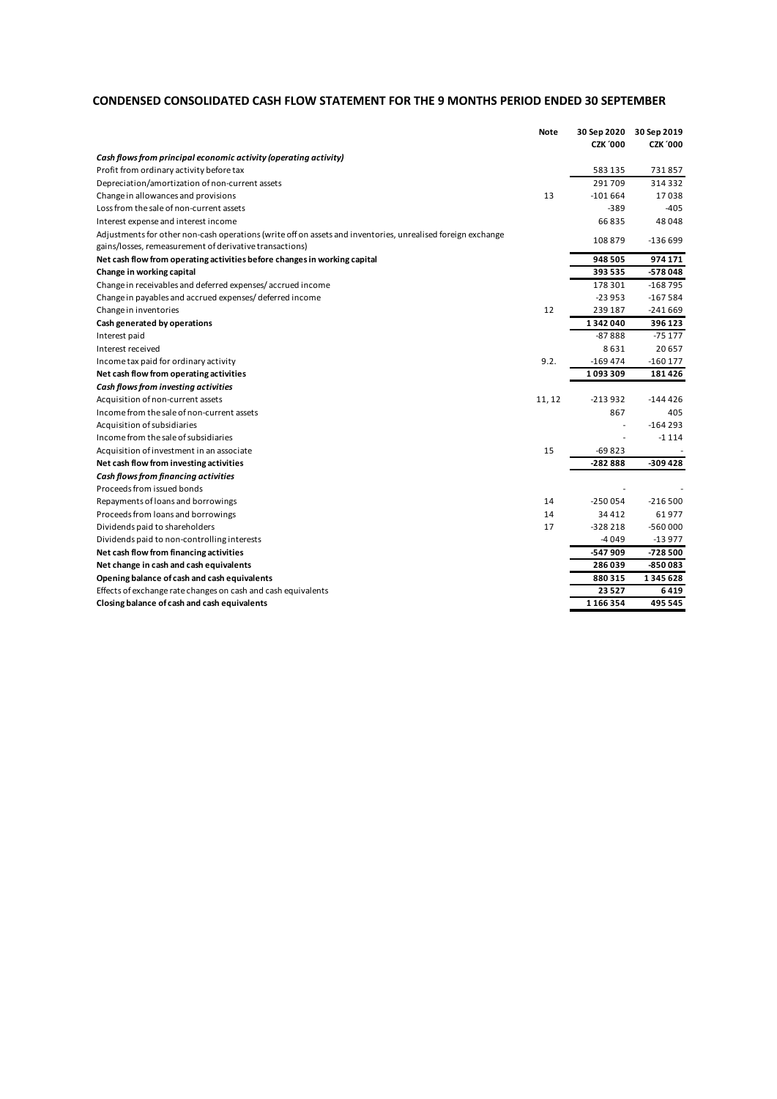# **CONDENSED CONSOLIDATED CASH FLOW STATEMENT FOR THE 9 MONTHS PERIOD ENDED 30 SEPTEMBER**

| <b>CZK '000</b><br><b>CZK '000</b><br>Cash flows from principal economic activity (operating activity)<br>583135<br>731857<br>Profit from ordinary activity before tax<br>291709<br>314332<br>Depreciation/amortization of non-current assets<br>13<br>17038<br>Change in allowances and provisions<br>$-101664$<br>Loss from the sale of non-current assets<br>$-389$<br>$-405$<br>48048<br>Interest expense and interest income<br>66835<br>Adjustments for other non-cash operations (write off on assets and inventories, unrealised foreign exchange<br>108879<br>$-136699$<br>gains/losses, remeasurement of derivative transactions)<br>974171<br>948505<br>Net cash flow from operating activities before changes in working capital<br>393535<br>-578048<br>Change in working capital<br>Change in receivables and deferred expenses/accrued income<br>178301<br>-168795<br>Change in payables and accrued expenses/deferred income<br>$-23953$<br>$-167584$<br>12<br>Change in inventories<br>239 187<br>$-241669$<br>1342040<br>396 123<br>Cash generated by operations<br>$-87888$<br>-75 177<br>Interest paid<br>8631<br>20657<br>Interest received<br>9.2.<br>$-169474$<br>$-160177$<br>Income tax paid for ordinary activity<br>1093309<br>181426<br>Net cash flow from operating activities<br>Cash flows from investing activities<br>Acquisition of non-current assets<br>11, 12<br>-213932<br>-144426<br>867<br>Income from the sale of non-current assets<br>405<br>Acquisition of subsidiaries<br>$-164293$<br>Income from the sale of subsidiaries<br>$-1114$<br>15<br>Acquisition of investment in an associate<br>-69823<br>$-309428$<br>Net cash flow from investing activities<br>-282888<br>Cash flows from financing activities<br>Proceeds from issued bonds<br>$-216500$<br>Repayments of loans and borrowings<br>14<br>$-250054$<br>14<br>61977<br>Proceeds from loans and borrowings<br>34412<br>$-560000$<br>Dividends paid to shareholders<br>17<br>$-328218$<br>-4049<br>$-13977$<br>Dividends paid to non-controlling interests<br>Net cash flow from financing activities<br>-547 909<br>-728 500<br>-850083<br>Net change in cash and cash equivalents<br>286039<br>Opening balance of cash and cash equivalents<br>880315<br>1345628<br>23527<br>6419<br>Effects of exchange rate changes on cash and cash equivalents<br>Closing balance of cash and cash equivalents<br>1166354<br>495 545 | Note | 30 Sep 2020 | 30 Sep 2019 |
|-------------------------------------------------------------------------------------------------------------------------------------------------------------------------------------------------------------------------------------------------------------------------------------------------------------------------------------------------------------------------------------------------------------------------------------------------------------------------------------------------------------------------------------------------------------------------------------------------------------------------------------------------------------------------------------------------------------------------------------------------------------------------------------------------------------------------------------------------------------------------------------------------------------------------------------------------------------------------------------------------------------------------------------------------------------------------------------------------------------------------------------------------------------------------------------------------------------------------------------------------------------------------------------------------------------------------------------------------------------------------------------------------------------------------------------------------------------------------------------------------------------------------------------------------------------------------------------------------------------------------------------------------------------------------------------------------------------------------------------------------------------------------------------------------------------------------------------------------------------------------------------------------------------------------------------------------------------------------------------------------------------------------------------------------------------------------------------------------------------------------------------------------------------------------------------------------------------------------------------------------------------------------------------------------------------------------------------------------------------------------------------------------------------------------------------|------|-------------|-------------|
|                                                                                                                                                                                                                                                                                                                                                                                                                                                                                                                                                                                                                                                                                                                                                                                                                                                                                                                                                                                                                                                                                                                                                                                                                                                                                                                                                                                                                                                                                                                                                                                                                                                                                                                                                                                                                                                                                                                                                                                                                                                                                                                                                                                                                                                                                                                                                                                                                                     |      |             |             |
|                                                                                                                                                                                                                                                                                                                                                                                                                                                                                                                                                                                                                                                                                                                                                                                                                                                                                                                                                                                                                                                                                                                                                                                                                                                                                                                                                                                                                                                                                                                                                                                                                                                                                                                                                                                                                                                                                                                                                                                                                                                                                                                                                                                                                                                                                                                                                                                                                                     |      |             |             |
|                                                                                                                                                                                                                                                                                                                                                                                                                                                                                                                                                                                                                                                                                                                                                                                                                                                                                                                                                                                                                                                                                                                                                                                                                                                                                                                                                                                                                                                                                                                                                                                                                                                                                                                                                                                                                                                                                                                                                                                                                                                                                                                                                                                                                                                                                                                                                                                                                                     |      |             |             |
|                                                                                                                                                                                                                                                                                                                                                                                                                                                                                                                                                                                                                                                                                                                                                                                                                                                                                                                                                                                                                                                                                                                                                                                                                                                                                                                                                                                                                                                                                                                                                                                                                                                                                                                                                                                                                                                                                                                                                                                                                                                                                                                                                                                                                                                                                                                                                                                                                                     |      |             |             |
|                                                                                                                                                                                                                                                                                                                                                                                                                                                                                                                                                                                                                                                                                                                                                                                                                                                                                                                                                                                                                                                                                                                                                                                                                                                                                                                                                                                                                                                                                                                                                                                                                                                                                                                                                                                                                                                                                                                                                                                                                                                                                                                                                                                                                                                                                                                                                                                                                                     |      |             |             |
|                                                                                                                                                                                                                                                                                                                                                                                                                                                                                                                                                                                                                                                                                                                                                                                                                                                                                                                                                                                                                                                                                                                                                                                                                                                                                                                                                                                                                                                                                                                                                                                                                                                                                                                                                                                                                                                                                                                                                                                                                                                                                                                                                                                                                                                                                                                                                                                                                                     |      |             |             |
|                                                                                                                                                                                                                                                                                                                                                                                                                                                                                                                                                                                                                                                                                                                                                                                                                                                                                                                                                                                                                                                                                                                                                                                                                                                                                                                                                                                                                                                                                                                                                                                                                                                                                                                                                                                                                                                                                                                                                                                                                                                                                                                                                                                                                                                                                                                                                                                                                                     |      |             |             |
|                                                                                                                                                                                                                                                                                                                                                                                                                                                                                                                                                                                                                                                                                                                                                                                                                                                                                                                                                                                                                                                                                                                                                                                                                                                                                                                                                                                                                                                                                                                                                                                                                                                                                                                                                                                                                                                                                                                                                                                                                                                                                                                                                                                                                                                                                                                                                                                                                                     |      |             |             |
|                                                                                                                                                                                                                                                                                                                                                                                                                                                                                                                                                                                                                                                                                                                                                                                                                                                                                                                                                                                                                                                                                                                                                                                                                                                                                                                                                                                                                                                                                                                                                                                                                                                                                                                                                                                                                                                                                                                                                                                                                                                                                                                                                                                                                                                                                                                                                                                                                                     |      |             |             |
|                                                                                                                                                                                                                                                                                                                                                                                                                                                                                                                                                                                                                                                                                                                                                                                                                                                                                                                                                                                                                                                                                                                                                                                                                                                                                                                                                                                                                                                                                                                                                                                                                                                                                                                                                                                                                                                                                                                                                                                                                                                                                                                                                                                                                                                                                                                                                                                                                                     |      |             |             |
|                                                                                                                                                                                                                                                                                                                                                                                                                                                                                                                                                                                                                                                                                                                                                                                                                                                                                                                                                                                                                                                                                                                                                                                                                                                                                                                                                                                                                                                                                                                                                                                                                                                                                                                                                                                                                                                                                                                                                                                                                                                                                                                                                                                                                                                                                                                                                                                                                                     |      |             |             |
|                                                                                                                                                                                                                                                                                                                                                                                                                                                                                                                                                                                                                                                                                                                                                                                                                                                                                                                                                                                                                                                                                                                                                                                                                                                                                                                                                                                                                                                                                                                                                                                                                                                                                                                                                                                                                                                                                                                                                                                                                                                                                                                                                                                                                                                                                                                                                                                                                                     |      |             |             |
|                                                                                                                                                                                                                                                                                                                                                                                                                                                                                                                                                                                                                                                                                                                                                                                                                                                                                                                                                                                                                                                                                                                                                                                                                                                                                                                                                                                                                                                                                                                                                                                                                                                                                                                                                                                                                                                                                                                                                                                                                                                                                                                                                                                                                                                                                                                                                                                                                                     |      |             |             |
|                                                                                                                                                                                                                                                                                                                                                                                                                                                                                                                                                                                                                                                                                                                                                                                                                                                                                                                                                                                                                                                                                                                                                                                                                                                                                                                                                                                                                                                                                                                                                                                                                                                                                                                                                                                                                                                                                                                                                                                                                                                                                                                                                                                                                                                                                                                                                                                                                                     |      |             |             |
|                                                                                                                                                                                                                                                                                                                                                                                                                                                                                                                                                                                                                                                                                                                                                                                                                                                                                                                                                                                                                                                                                                                                                                                                                                                                                                                                                                                                                                                                                                                                                                                                                                                                                                                                                                                                                                                                                                                                                                                                                                                                                                                                                                                                                                                                                                                                                                                                                                     |      |             |             |
|                                                                                                                                                                                                                                                                                                                                                                                                                                                                                                                                                                                                                                                                                                                                                                                                                                                                                                                                                                                                                                                                                                                                                                                                                                                                                                                                                                                                                                                                                                                                                                                                                                                                                                                                                                                                                                                                                                                                                                                                                                                                                                                                                                                                                                                                                                                                                                                                                                     |      |             |             |
|                                                                                                                                                                                                                                                                                                                                                                                                                                                                                                                                                                                                                                                                                                                                                                                                                                                                                                                                                                                                                                                                                                                                                                                                                                                                                                                                                                                                                                                                                                                                                                                                                                                                                                                                                                                                                                                                                                                                                                                                                                                                                                                                                                                                                                                                                                                                                                                                                                     |      |             |             |
|                                                                                                                                                                                                                                                                                                                                                                                                                                                                                                                                                                                                                                                                                                                                                                                                                                                                                                                                                                                                                                                                                                                                                                                                                                                                                                                                                                                                                                                                                                                                                                                                                                                                                                                                                                                                                                                                                                                                                                                                                                                                                                                                                                                                                                                                                                                                                                                                                                     |      |             |             |
|                                                                                                                                                                                                                                                                                                                                                                                                                                                                                                                                                                                                                                                                                                                                                                                                                                                                                                                                                                                                                                                                                                                                                                                                                                                                                                                                                                                                                                                                                                                                                                                                                                                                                                                                                                                                                                                                                                                                                                                                                                                                                                                                                                                                                                                                                                                                                                                                                                     |      |             |             |
|                                                                                                                                                                                                                                                                                                                                                                                                                                                                                                                                                                                                                                                                                                                                                                                                                                                                                                                                                                                                                                                                                                                                                                                                                                                                                                                                                                                                                                                                                                                                                                                                                                                                                                                                                                                                                                                                                                                                                                                                                                                                                                                                                                                                                                                                                                                                                                                                                                     |      |             |             |
|                                                                                                                                                                                                                                                                                                                                                                                                                                                                                                                                                                                                                                                                                                                                                                                                                                                                                                                                                                                                                                                                                                                                                                                                                                                                                                                                                                                                                                                                                                                                                                                                                                                                                                                                                                                                                                                                                                                                                                                                                                                                                                                                                                                                                                                                                                                                                                                                                                     |      |             |             |
|                                                                                                                                                                                                                                                                                                                                                                                                                                                                                                                                                                                                                                                                                                                                                                                                                                                                                                                                                                                                                                                                                                                                                                                                                                                                                                                                                                                                                                                                                                                                                                                                                                                                                                                                                                                                                                                                                                                                                                                                                                                                                                                                                                                                                                                                                                                                                                                                                                     |      |             |             |
|                                                                                                                                                                                                                                                                                                                                                                                                                                                                                                                                                                                                                                                                                                                                                                                                                                                                                                                                                                                                                                                                                                                                                                                                                                                                                                                                                                                                                                                                                                                                                                                                                                                                                                                                                                                                                                                                                                                                                                                                                                                                                                                                                                                                                                                                                                                                                                                                                                     |      |             |             |
|                                                                                                                                                                                                                                                                                                                                                                                                                                                                                                                                                                                                                                                                                                                                                                                                                                                                                                                                                                                                                                                                                                                                                                                                                                                                                                                                                                                                                                                                                                                                                                                                                                                                                                                                                                                                                                                                                                                                                                                                                                                                                                                                                                                                                                                                                                                                                                                                                                     |      |             |             |
|                                                                                                                                                                                                                                                                                                                                                                                                                                                                                                                                                                                                                                                                                                                                                                                                                                                                                                                                                                                                                                                                                                                                                                                                                                                                                                                                                                                                                                                                                                                                                                                                                                                                                                                                                                                                                                                                                                                                                                                                                                                                                                                                                                                                                                                                                                                                                                                                                                     |      |             |             |
|                                                                                                                                                                                                                                                                                                                                                                                                                                                                                                                                                                                                                                                                                                                                                                                                                                                                                                                                                                                                                                                                                                                                                                                                                                                                                                                                                                                                                                                                                                                                                                                                                                                                                                                                                                                                                                                                                                                                                                                                                                                                                                                                                                                                                                                                                                                                                                                                                                     |      |             |             |
|                                                                                                                                                                                                                                                                                                                                                                                                                                                                                                                                                                                                                                                                                                                                                                                                                                                                                                                                                                                                                                                                                                                                                                                                                                                                                                                                                                                                                                                                                                                                                                                                                                                                                                                                                                                                                                                                                                                                                                                                                                                                                                                                                                                                                                                                                                                                                                                                                                     |      |             |             |
|                                                                                                                                                                                                                                                                                                                                                                                                                                                                                                                                                                                                                                                                                                                                                                                                                                                                                                                                                                                                                                                                                                                                                                                                                                                                                                                                                                                                                                                                                                                                                                                                                                                                                                                                                                                                                                                                                                                                                                                                                                                                                                                                                                                                                                                                                                                                                                                                                                     |      |             |             |
|                                                                                                                                                                                                                                                                                                                                                                                                                                                                                                                                                                                                                                                                                                                                                                                                                                                                                                                                                                                                                                                                                                                                                                                                                                                                                                                                                                                                                                                                                                                                                                                                                                                                                                                                                                                                                                                                                                                                                                                                                                                                                                                                                                                                                                                                                                                                                                                                                                     |      |             |             |
|                                                                                                                                                                                                                                                                                                                                                                                                                                                                                                                                                                                                                                                                                                                                                                                                                                                                                                                                                                                                                                                                                                                                                                                                                                                                                                                                                                                                                                                                                                                                                                                                                                                                                                                                                                                                                                                                                                                                                                                                                                                                                                                                                                                                                                                                                                                                                                                                                                     |      |             |             |
|                                                                                                                                                                                                                                                                                                                                                                                                                                                                                                                                                                                                                                                                                                                                                                                                                                                                                                                                                                                                                                                                                                                                                                                                                                                                                                                                                                                                                                                                                                                                                                                                                                                                                                                                                                                                                                                                                                                                                                                                                                                                                                                                                                                                                                                                                                                                                                                                                                     |      |             |             |
|                                                                                                                                                                                                                                                                                                                                                                                                                                                                                                                                                                                                                                                                                                                                                                                                                                                                                                                                                                                                                                                                                                                                                                                                                                                                                                                                                                                                                                                                                                                                                                                                                                                                                                                                                                                                                                                                                                                                                                                                                                                                                                                                                                                                                                                                                                                                                                                                                                     |      |             |             |
|                                                                                                                                                                                                                                                                                                                                                                                                                                                                                                                                                                                                                                                                                                                                                                                                                                                                                                                                                                                                                                                                                                                                                                                                                                                                                                                                                                                                                                                                                                                                                                                                                                                                                                                                                                                                                                                                                                                                                                                                                                                                                                                                                                                                                                                                                                                                                                                                                                     |      |             |             |
|                                                                                                                                                                                                                                                                                                                                                                                                                                                                                                                                                                                                                                                                                                                                                                                                                                                                                                                                                                                                                                                                                                                                                                                                                                                                                                                                                                                                                                                                                                                                                                                                                                                                                                                                                                                                                                                                                                                                                                                                                                                                                                                                                                                                                                                                                                                                                                                                                                     |      |             |             |
|                                                                                                                                                                                                                                                                                                                                                                                                                                                                                                                                                                                                                                                                                                                                                                                                                                                                                                                                                                                                                                                                                                                                                                                                                                                                                                                                                                                                                                                                                                                                                                                                                                                                                                                                                                                                                                                                                                                                                                                                                                                                                                                                                                                                                                                                                                                                                                                                                                     |      |             |             |
|                                                                                                                                                                                                                                                                                                                                                                                                                                                                                                                                                                                                                                                                                                                                                                                                                                                                                                                                                                                                                                                                                                                                                                                                                                                                                                                                                                                                                                                                                                                                                                                                                                                                                                                                                                                                                                                                                                                                                                                                                                                                                                                                                                                                                                                                                                                                                                                                                                     |      |             |             |
|                                                                                                                                                                                                                                                                                                                                                                                                                                                                                                                                                                                                                                                                                                                                                                                                                                                                                                                                                                                                                                                                                                                                                                                                                                                                                                                                                                                                                                                                                                                                                                                                                                                                                                                                                                                                                                                                                                                                                                                                                                                                                                                                                                                                                                                                                                                                                                                                                                     |      |             |             |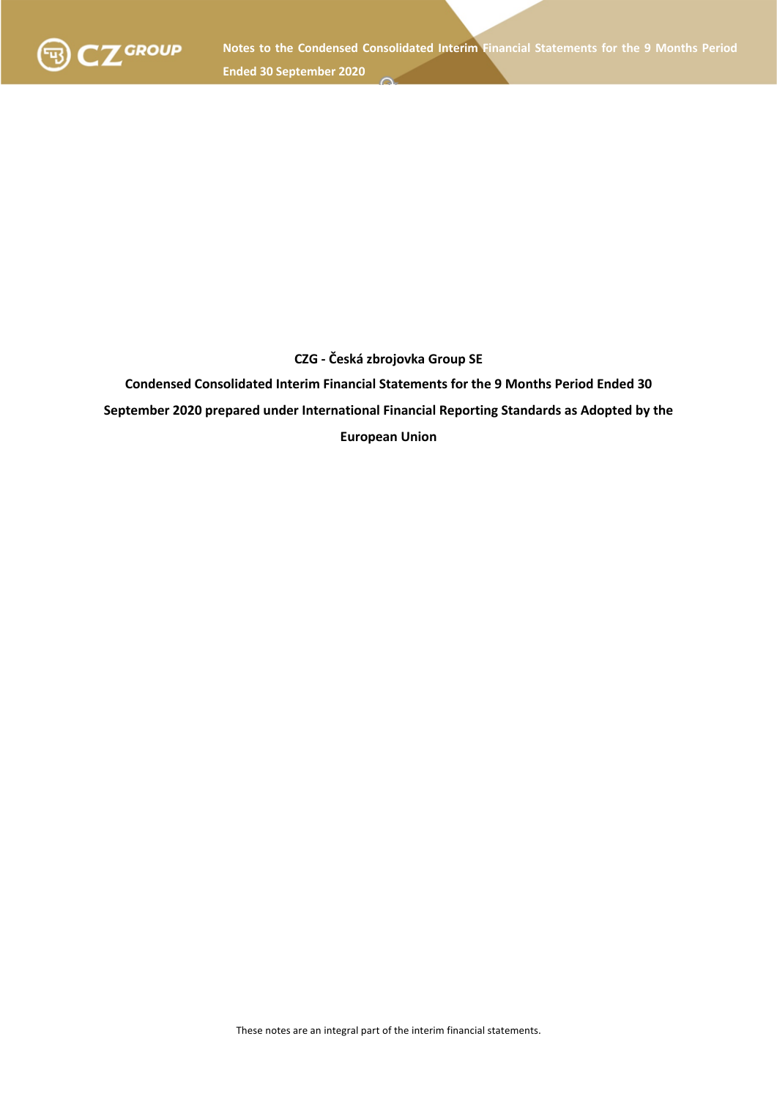

# **CZG - Česká zbrojovka Group SE**

**Condensed Consolidated Interim Financial Statements for the 9 Months Period Ended 30 September 2020 prepared under International Financial Reporting Standards as Adopted by the European Union**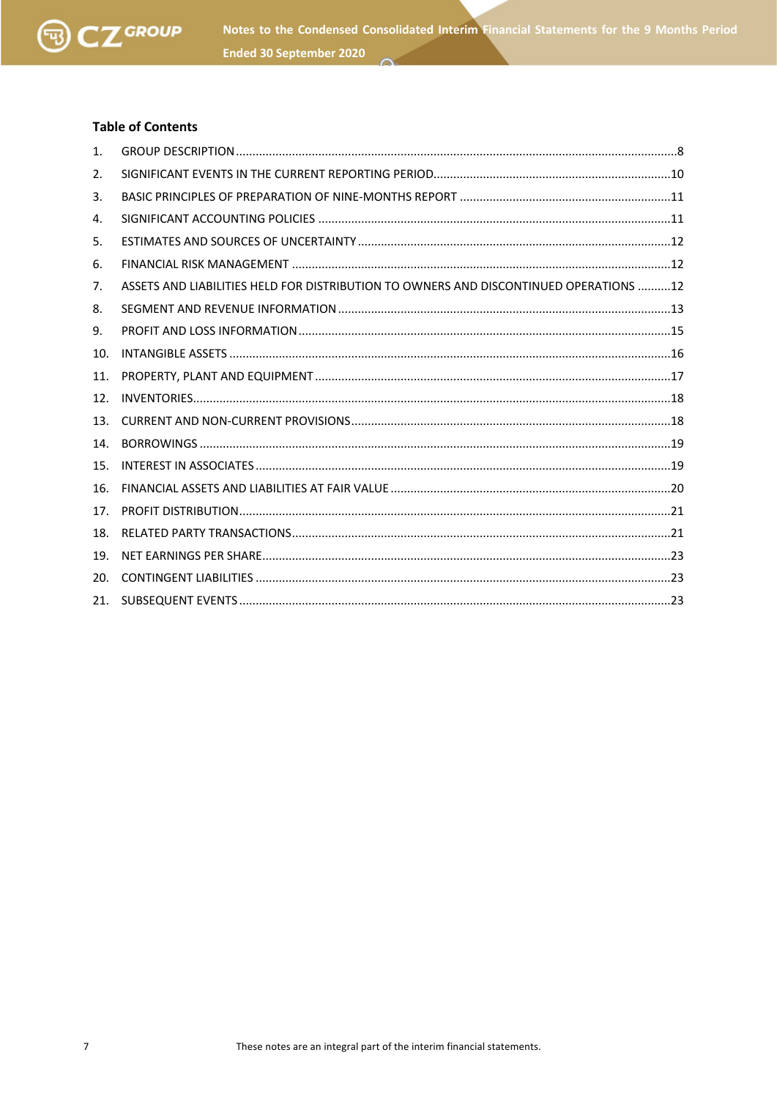

# **Table of Contents**

| 1.  |                                                                                       |  |
|-----|---------------------------------------------------------------------------------------|--|
| 2.  |                                                                                       |  |
| 3.  |                                                                                       |  |
| 4.  |                                                                                       |  |
| 5.  |                                                                                       |  |
| 6.  |                                                                                       |  |
| 7.  | ASSETS AND LIABILITIES HELD FOR DISTRIBUTION TO OWNERS AND DISCONTINUED OPERATIONS 12 |  |
| 8.  |                                                                                       |  |
| 9.  |                                                                                       |  |
| 10. |                                                                                       |  |
| 11. |                                                                                       |  |
| 12. |                                                                                       |  |
| 13. |                                                                                       |  |
| 14. |                                                                                       |  |
| 15. |                                                                                       |  |
| 16. |                                                                                       |  |
| 17. |                                                                                       |  |
| 18. |                                                                                       |  |
| 19. |                                                                                       |  |
| 20. |                                                                                       |  |
| 21. |                                                                                       |  |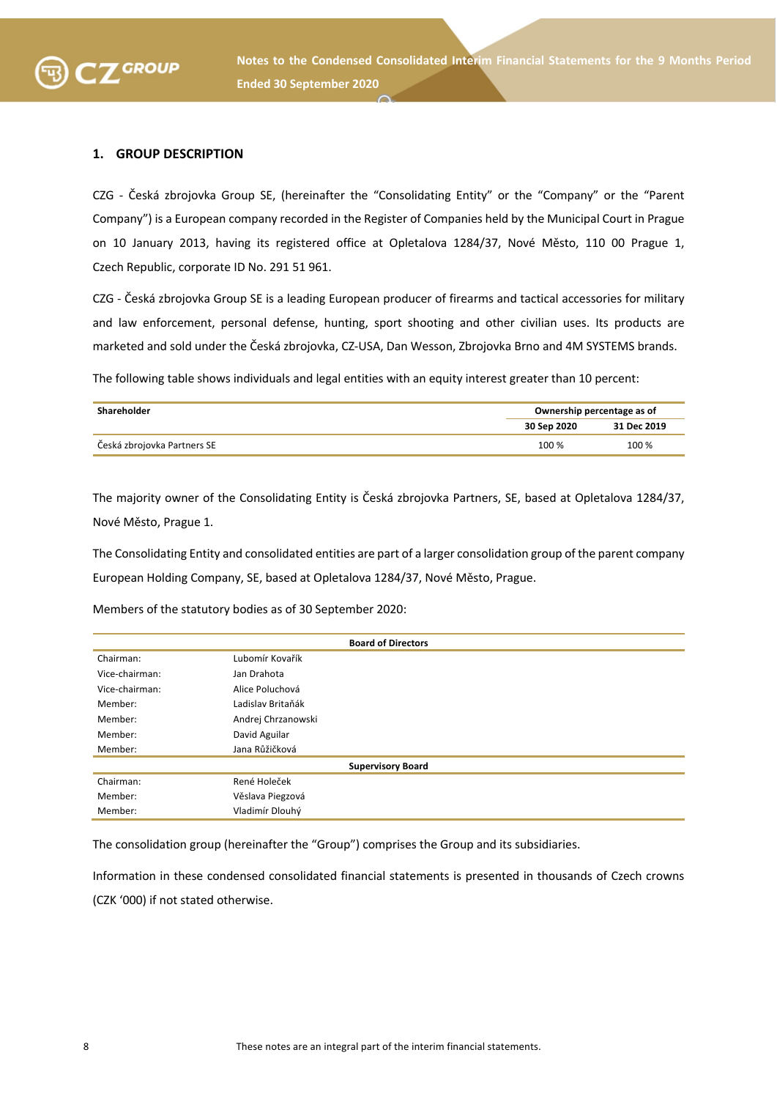

#### **1. GROUP DESCRIPTION**

CZG - Česká zbrojovka Group SE, (hereinafter the "Consolidating Entity" or the "Company" or the "Parent Company") is a European company recorded in the Register of Companies held by the Municipal Court in Prague on 10 January 2013, having its registered office at Opletalova 1284/37, Nové Město, 110 00 Prague 1, Czech Republic, corporate ID No. 291 51 961.

CZG - Česká zbrojovka Group SE is a leading European producer of firearms and tactical accessories for military and law enforcement, personal defense, hunting, sport shooting and other civilian uses. Its products are marketed and sold under the Česká zbrojovka, CZ-USA, Dan Wesson, Zbrojovka Brno and 4M SYSTEMS brands.

The following table shows individuals and legal entities with an equity interest greater than 10 percent:

| Shareholder                 |             | Ownership percentage as of |  |  |
|-----------------------------|-------------|----------------------------|--|--|
|                             | 30 Sep 2020 | 31 Dec 2019                |  |  |
| Česká zbrojovka Partners SE | 100 %       | 100 %                      |  |  |

The majority owner of the Consolidating Entity is Česká zbrojovka Partners, SE, based at Opletalova 1284/37, Nové Město, Prague 1.

The Consolidating Entity and consolidated entities are part of a larger consolidation group of the parent company European Holding Company, SE, based at Opletalova 1284/37, Nové Město, Prague.

Members of the statutory bodies as of 30 September 2020:

| <b>Board of Directors</b> |                          |  |  |
|---------------------------|--------------------------|--|--|
| Chairman:                 | Lubomír Kovařík          |  |  |
| Vice-chairman:            | Jan Drahota              |  |  |
| Vice-chairman:            | Alice Poluchová          |  |  |
| Member:                   | Ladislav Britaňák        |  |  |
| Member:                   | Andrej Chrzanowski       |  |  |
| Member:                   | David Aguilar            |  |  |
| Member:                   | Jana Růžičková           |  |  |
|                           | <b>Supervisory Board</b> |  |  |
| Chairman:                 | René Holeček             |  |  |
| Member:                   | Věslava Piegzová         |  |  |
| Member:                   | Vladimír Dlouhý          |  |  |

The consolidation group (hereinafter the "Group") comprises the Group and its subsidiaries.

Information in these condensed consolidated financial statements is presented in thousands of Czech crowns (CZK '000) if not stated otherwise.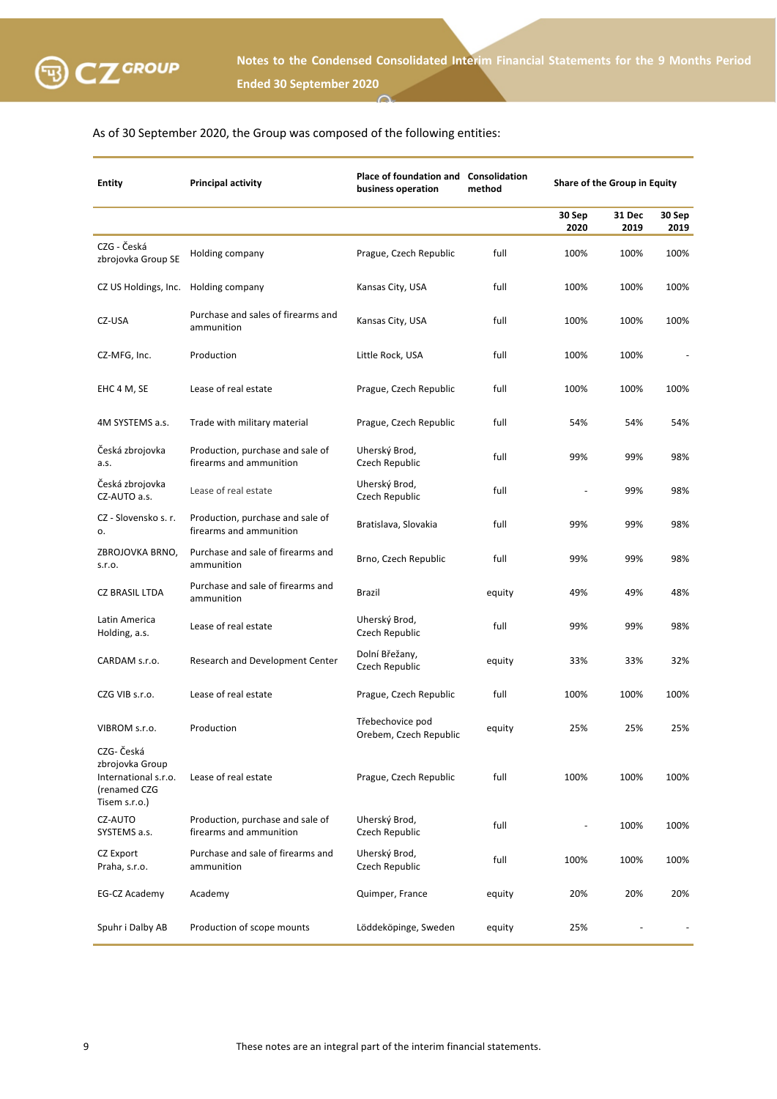

# As of 30 September 2020, the Group was composed of the following entities:

| <b>Entity</b>                                                                          | <b>Principal activity</b>                                   | Place of foundation and Consolidation<br>business operation | method | Share of the Group in Equity |                |                |
|----------------------------------------------------------------------------------------|-------------------------------------------------------------|-------------------------------------------------------------|--------|------------------------------|----------------|----------------|
|                                                                                        |                                                             |                                                             |        | 30 Sep<br>2020               | 31 Dec<br>2019 | 30 Sep<br>2019 |
| CZG - Česká<br>zbrojovka Group SE                                                      | Holding company                                             | Prague, Czech Republic                                      | full   | 100%                         | 100%           | 100%           |
| CZ US Holdings, Inc.                                                                   | Holding company                                             | Kansas City, USA                                            | full   | 100%                         | 100%           | 100%           |
| CZ-USA                                                                                 | Purchase and sales of firearms and<br>ammunition            | Kansas City, USA                                            | full   | 100%                         | 100%           | 100%           |
| CZ-MFG, Inc.                                                                           | Production                                                  | Little Rock, USA                                            | full   | 100%                         | 100%           |                |
| EHC 4 M, SE                                                                            | Lease of real estate                                        | Prague, Czech Republic                                      | full   | 100%                         | 100%           | 100%           |
| 4M SYSTEMS a.s.                                                                        | Trade with military material                                | Prague, Czech Republic                                      | full   | 54%                          | 54%            | 54%            |
| Česká zbrojovka<br>a.s.                                                                | Production, purchase and sale of<br>firearms and ammunition | Uherský Brod,<br>Czech Republic                             | full   | 99%                          | 99%            | 98%            |
| Česká zbrojovka<br>CZ-AUTO a.s.                                                        | Lease of real estate                                        | Uherský Brod,<br>Czech Republic                             | full   |                              | 99%            | 98%            |
| CZ - Slovensko s. r.<br>о.                                                             | Production, purchase and sale of<br>firearms and ammunition | Bratislava, Slovakia                                        | full   | 99%                          | 99%            | 98%            |
| ZBROJOVKA BRNO,<br>S.T.O.                                                              | Purchase and sale of firearms and<br>ammunition             | Brno, Czech Republic                                        | full   | 99%                          | 99%            | 98%            |
| <b>CZ BRASIL LTDA</b>                                                                  | Purchase and sale of firearms and<br>ammunition             | Brazil                                                      | equity | 49%                          | 49%            | 48%            |
| Latin America<br>Holding, a.s.                                                         | Lease of real estate                                        | Uherský Brod,<br>Czech Republic                             | full   | 99%                          | 99%            | 98%            |
| CARDAM s.r.o.                                                                          | Research and Development Center                             | Dolní Břežany,<br>Czech Republic                            | equity | 33%                          | 33%            | 32%            |
| CZG VIB s.r.o.                                                                         | Lease of real estate                                        | Prague, Czech Republic                                      | full   | 100%                         | 100%           | 100%           |
| VIBROM s.r.o.                                                                          | Production                                                  | Třebechovice pod<br>Orebem, Czech Republic                  | equity | 25%                          | 25%            | 25%            |
| CZG- Česká<br>zbrojovka Group<br>International s.r.o.<br>(renamed CZG<br>Tisem s.r.o.) | Lease of real estate                                        | Prague, Czech Republic                                      | full   | 100%                         | 100%           | 100%           |
| CZ-AUTO<br>SYSTEMS a.s.                                                                | Production, purchase and sale of<br>firearms and ammunition | Uherský Brod,<br>Czech Republic                             | full   |                              | 100%           | 100%           |
| CZ Export<br>Praha, s.r.o.                                                             | Purchase and sale of firearms and<br>ammunition             | Uherský Brod,<br>Czech Republic                             | full   | 100%                         | 100%           | 100%           |
| EG-CZ Academy                                                                          | Academy                                                     | Quimper, France                                             | equity | 20%                          | 20%            | 20%            |
| Spuhr i Dalby AB                                                                       | Production of scope mounts                                  | Löddeköpinge, Sweden                                        | equity | 25%                          |                |                |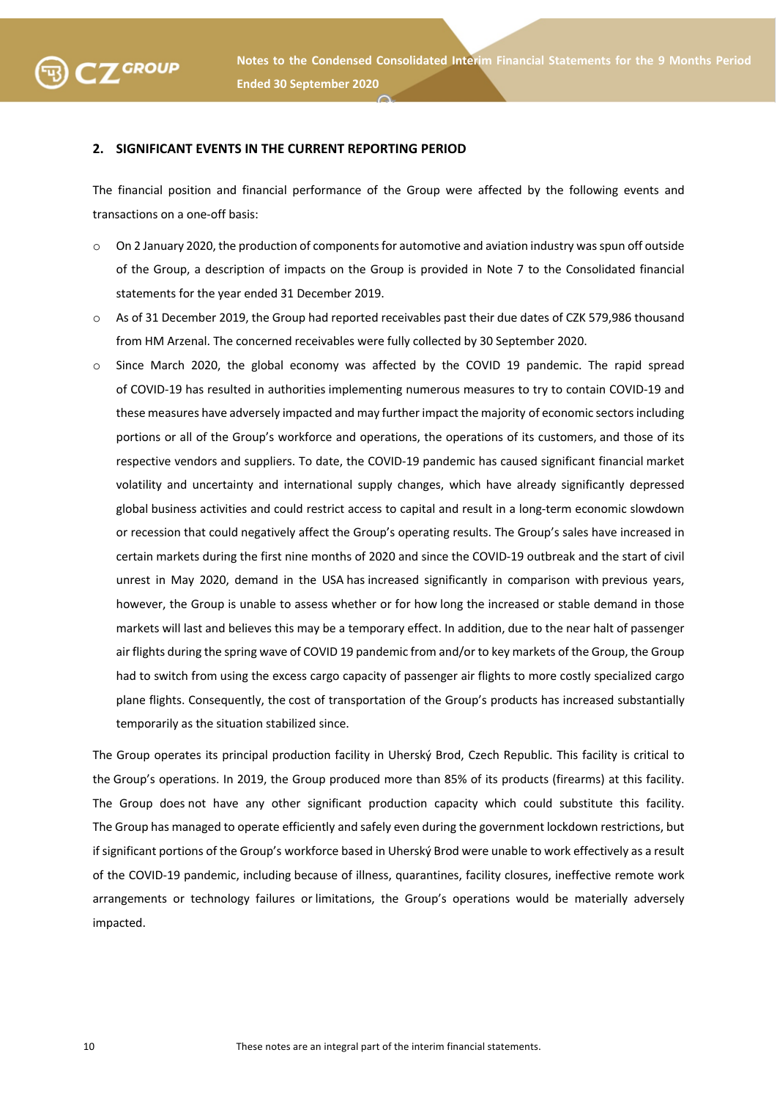

### **2. SIGNIFICANT EVENTS IN THE CURRENT REPORTING PERIOD**

The financial position and financial performance of the Group were affected by the following events and transactions on a one-off basis:

- $\circ$  On 2 January 2020, the production of components for automotive and aviation industry was spun off outside of the Group, a description of impacts on the Group is provided in Note 7 to the Consolidated financial statements for the year ended 31 December 2019.
- o As of 31 December 2019, the Group had reported receivables past their due dates of CZK 579,986 thousand from HM Arzenal. The concerned receivables were fully collected by 30 September 2020.
- $\circ$  Since March 2020, the global economy was affected by the COVID 19 pandemic. The rapid spread of COVID-19 has resulted in authorities implementing numerous measures to try to contain COVID-19 and these measures have adversely impacted and may further impact the majority of economic sectors including portions or all of the Group's workforce and operations, the operations of its customers, and those of its respective vendors and suppliers. To date, the COVID-19 pandemic has caused significant financial market volatility and uncertainty and international supply changes, which have already significantly depressed global business activities and could restrict access to capital and result in a long-term economic slowdown or recession that could negatively affect the Group's operating results. The Group's sales have increased in certain markets during the first nine months of 2020 and since the COVID-19 outbreak and the start of civil unrest in May 2020, demand in the USA has increased significantly in comparison with previous years, however, the Group is unable to assess whether or for how long the increased or stable demand in those markets will last and believes this may be a temporary effect. In addition, due to the near halt of passenger air flights during the spring wave of COVID 19 pandemic from and/or to key markets of the Group, the Group had to switch from using the excess cargo capacity of passenger air flights to more costly specialized cargo plane flights. Consequently, the cost of transportation of the Group's products has increased substantially temporarily as the situation stabilized since.

The Group operates its principal production facility in Uherský Brod, Czech Republic. This facility is critical to the Group's operations. In 2019, the Group produced more than 85% of its products (firearms) at this facility. The Group does not have any other significant production capacity which could substitute this facility. The Group has managed to operate efficiently and safely even during the government lockdown restrictions, but if significant portions of the Group's workforce based in Uherský Brod were unable to work effectively as a result of the COVID-19 pandemic, including because of illness, quarantines, facility closures, ineffective remote work arrangements or technology failures or limitations, the Group's operations would be materially adversely impacted.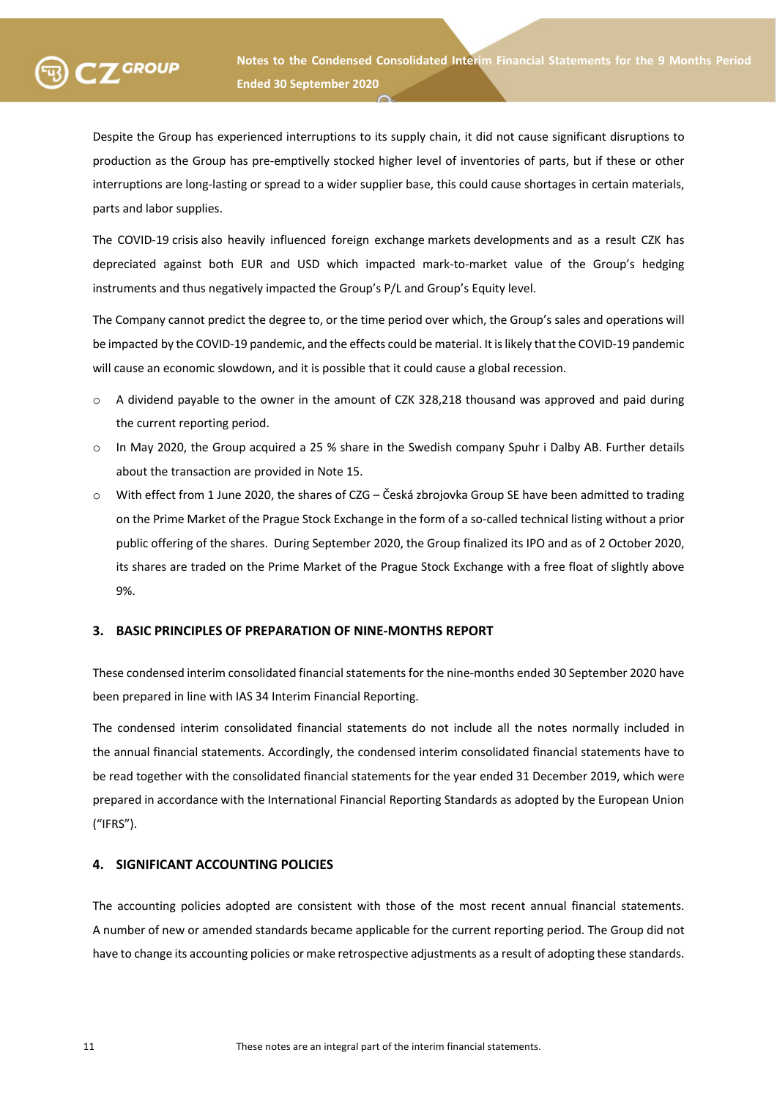Despite the Group has experienced interruptions to its supply chain, it did not cause significant disruptions to production as the Group has pre-emptivelly stocked higher level of inventories of parts, but if these or other interruptions are long-lasting or spread to a wider supplier base, this could cause shortages in certain materials, parts and labor supplies.

The COVID-19 crisis also heavily influenced foreign exchange markets developments and as a result CZK has depreciated against both EUR and USD which impacted mark-to-market value of the Group's hedging instruments and thus negatively impacted the Group's P/L and Group's Equity level.

The Company cannot predict the degree to, or the time period over which, the Group's sales and operations will be impacted by the COVID-19 pandemic, and the effects could be material. It is likely that the COVID-19 pandemic will cause an economic slowdown, and it is possible that it could cause a global recession.

- o A dividend payable to the owner in the amount of CZK 328,218 thousand was approved and paid during the current reporting period.
- o In May 2020, the Group acquired a 25 % share in the Swedish company Spuhr i Dalby AB. Further details about the transaction are provided in Note 15.
- o With effect from 1 June 2020, the shares of CZG Česká zbrojovka Group SE have been admitted to trading on the Prime Market of the Prague Stock Exchange in the form of a so-called technical listing without a prior public offering of the shares. During September 2020, the Group finalized its IPO and as of 2 October 2020, its shares are traded on the Prime Market of the Prague Stock Exchange with a free float of slightly above 9%.

# **3. BASIC PRINCIPLES OF PREPARATION OF NINE-MONTHS REPORT**

These condensed interim consolidated financial statements for the nine-months ended 30 September 2020 have been prepared in line with IAS 34 Interim Financial Reporting.

The condensed interim consolidated financial statements do not include all the notes normally included in the annual financial statements. Accordingly, the condensed interim consolidated financial statements have to be read together with the consolidated financial statements for the year ended 31 December 2019, which were prepared in accordance with the International Financial Reporting Standards as adopted by the European Union ("IFRS").

# **4. SIGNIFICANT ACCOUNTING POLICIES**

The accounting policies adopted are consistent with those of the most recent annual financial statements. A number of new or amended standards became applicable for the current reporting period. The Group did not have to change its accounting policies or make retrospective adjustments as a result of adopting these standards.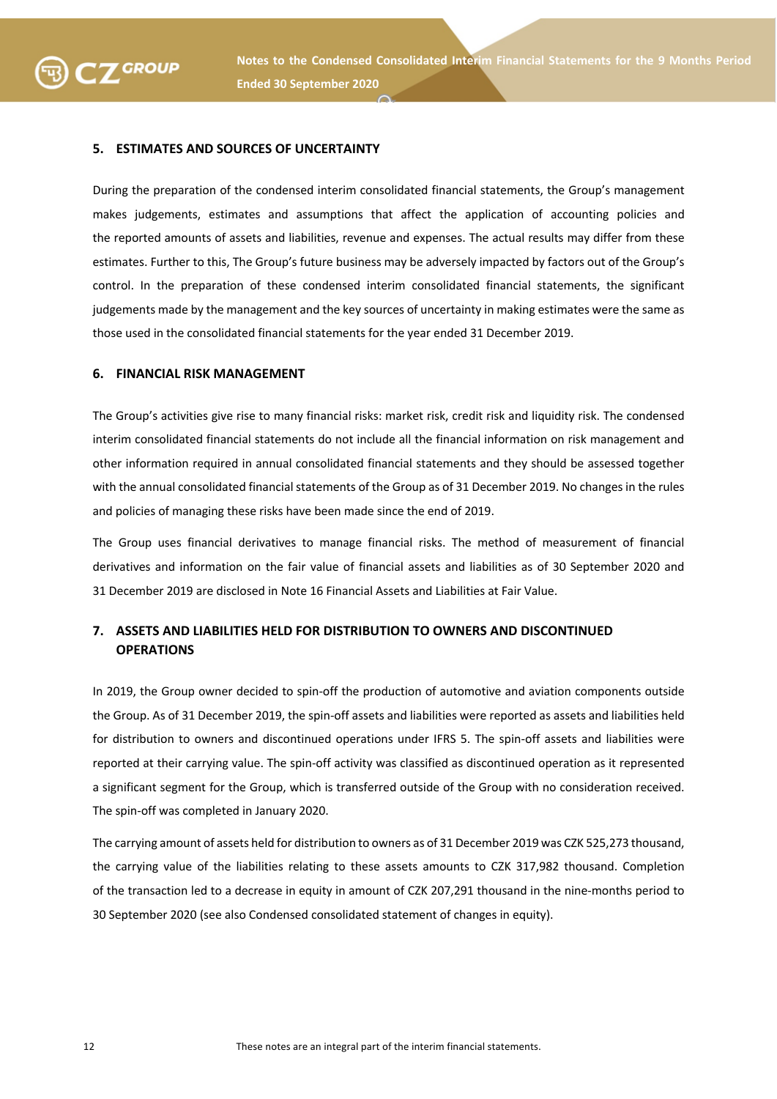

#### **5. ESTIMATES AND SOURCES OF UNCERTAINTY**

**SEXUP** 

During the preparation of the condensed interim consolidated financial statements, the Group's management makes judgements, estimates and assumptions that affect the application of accounting policies and the reported amounts of assets and liabilities, revenue and expenses. The actual results may differ from these estimates. Further to this, The Group's future business may be adversely impacted by factors out of the Group's control. In the preparation of these condensed interim consolidated financial statements, the significant judgements made by the management and the key sources of uncertainty in making estimates were the same as those used in the consolidated financial statements for the year ended 31 December 2019.

#### **6. FINANCIAL RISK MANAGEMENT**

The Group's activities give rise to many financial risks: market risk, credit risk and liquidity risk. The condensed interim consolidated financial statements do not include all the financial information on risk management and other information required in annual consolidated financial statements and they should be assessed together with the annual consolidated financial statements of the Group as of 31 December 2019. No changes in the rules and policies of managing these risks have been made since the end of 2019.

The Group uses financial derivatives to manage financial risks. The method of measurement of financial derivatives and information on the fair value of financial assets and liabilities as of 30 September 2020 and 31 December 2019 are disclosed in Note 16 Financial Assets and Liabilities at Fair Value.

# **7. ASSETS AND LIABILITIES HELD FOR DISTRIBUTION TO OWNERS AND DISCONTINUED OPERATIONS**

In 2019, the Group owner decided to spin-off the production of automotive and aviation components outside the Group. As of 31 December 2019, the spin-off assets and liabilities were reported as assets and liabilities held for distribution to owners and discontinued operations under IFRS 5. The spin-off assets and liabilities were reported at their carrying value. The spin-off activity was classified as discontinued operation as it represented a significant segment for the Group, which is transferred outside of the Group with no consideration received. The spin-off was completed in January 2020.

The carrying amount of assets held for distribution to owners as of 31 December 2019 was CZK 525,273 thousand, the carrying value of the liabilities relating to these assets amounts to CZK 317,982 thousand. Completion of the transaction led to a decrease in equity in amount of CZK 207,291 thousand in the nine-months period to 30 September 2020 (see also Condensed consolidated statement of changes in equity).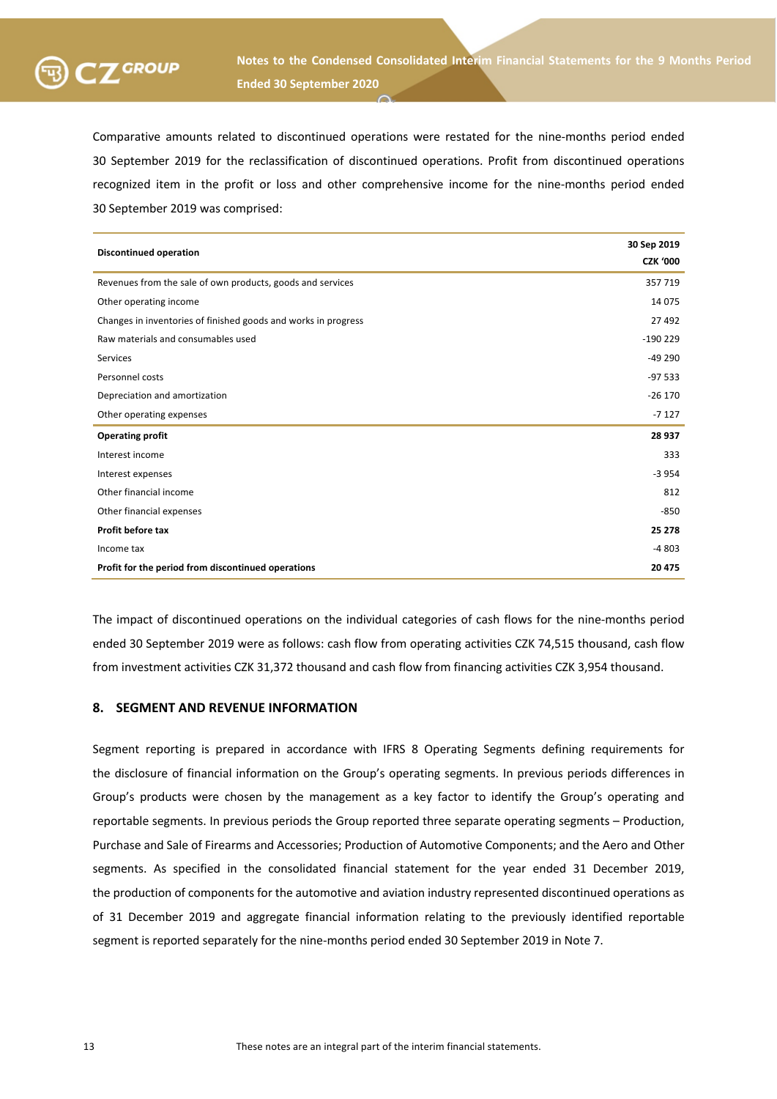

Comparative amounts related to discontinued operations were restated for the nine-months period ended 30 September 2019 for the reclassification of discontinued operations. Profit from discontinued operations recognized item in the profit or loss and other comprehensive income for the nine-months period ended 30 September 2019 was comprised:

| <b>Discontinued operation</b>                                  | 30 Sep 2019<br><b>CZK '000</b> |
|----------------------------------------------------------------|--------------------------------|
| Revenues from the sale of own products, goods and services     | 357 719                        |
| Other operating income                                         | 14 0 75                        |
| Changes in inventories of finished goods and works in progress | 27 492                         |
| Raw materials and consumables used                             | $-190229$                      |
| <b>Services</b>                                                | $-49290$                       |
| Personnel costs                                                | $-97533$                       |
| Depreciation and amortization                                  | $-26170$                       |
| Other operating expenses                                       | $-7127$                        |
| <b>Operating profit</b>                                        | 28 9 37                        |
| Interest income                                                | 333                            |
| Interest expenses                                              | $-3954$                        |
| Other financial income                                         | 812                            |
| Other financial expenses                                       | $-850$                         |
| Profit before tax                                              | 25 278                         |
| Income tax                                                     | $-4803$                        |
| Profit for the period from discontinued operations             | 20 475                         |

The impact of discontinued operations on the individual categories of cash flows for the nine-months period ended 30 September 2019 were as follows: cash flow from operating activities CZK 74,515 thousand, cash flow from investment activities CZK 31,372 thousand and cash flow from financing activities CZK 3,954 thousand.

# **8. SEGMENT AND REVENUE INFORMATION**

Segment reporting is prepared in accordance with IFRS 8 Operating Segments defining requirements for the disclosure of financial information on the Group's operating segments. In previous periods differences in Group's products were chosen by the management as a key factor to identify the Group's operating and reportable segments. In previous periods the Group reported three separate operating segments – Production, Purchase and Sale of Firearms and Accessories; Production of Automotive Components; and the Aero and Other segments. As specified in the consolidated financial statement for the year ended 31 December 2019, the production of components for the automotive and aviation industry represented discontinued operations as of 31 December 2019 and aggregate financial information relating to the previously identified reportable segment is reported separately for the nine-months period ended 30 September 2019 in Note 7.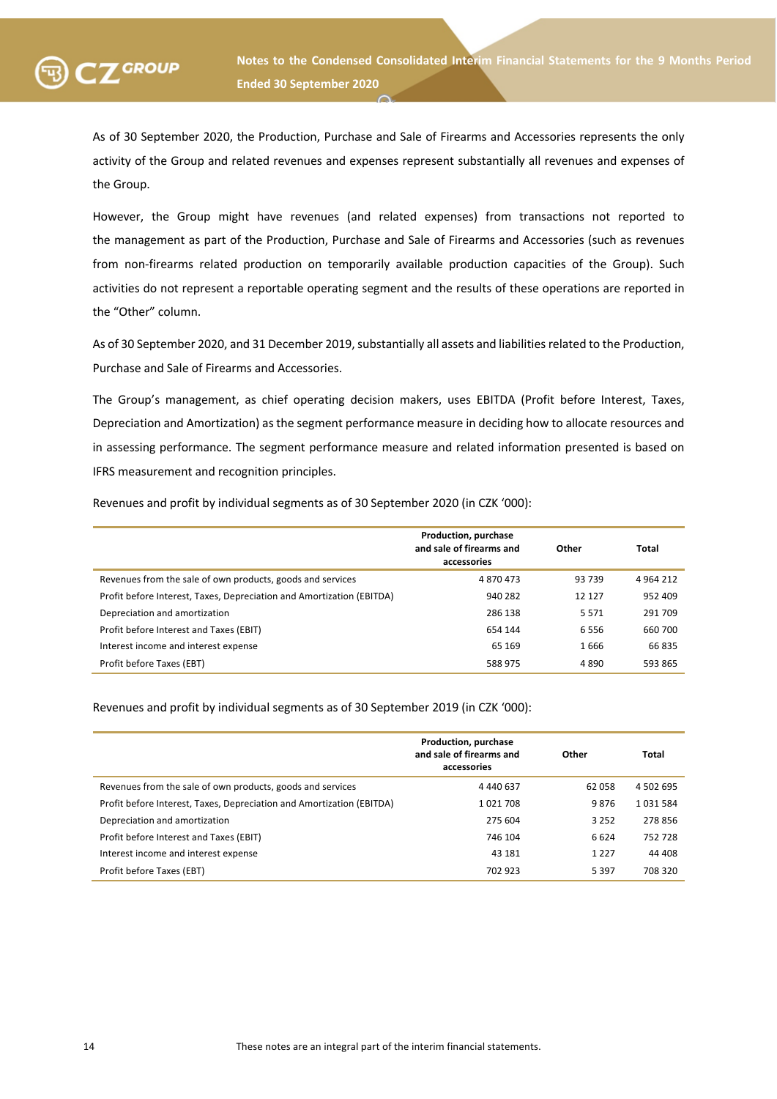

As of 30 September 2020, the Production, Purchase and Sale of Firearms and Accessories represents the only activity of the Group and related revenues and expenses represent substantially all revenues and expenses of the Group.

However, the Group might have revenues (and related expenses) from transactions not reported to the management as part of the Production, Purchase and Sale of Firearms and Accessories (such as revenues from non-firearms related production on temporarily available production capacities of the Group). Such activities do not represent a reportable operating segment and the results of these operations are reported in the "Other" column.

As of 30 September 2020, and 31 December 2019, substantially all assets and liabilities related to the Production, Purchase and Sale of Firearms and Accessories.

The Group's management, as chief operating decision makers, uses EBITDA (Profit before Interest, Taxes, Depreciation and Amortization) as the segment performance measure in deciding how to allocate resources and in assessing performance. The segment performance measure and related information presented is based on IFRS measurement and recognition principles.

Revenues and profit by individual segments as of 30 September 2020 (in CZK '000):

|                                                                       | Production, purchase<br>and sale of firearms and<br>accessories | Other  | Total       |
|-----------------------------------------------------------------------|-----------------------------------------------------------------|--------|-------------|
| Revenues from the sale of own products, goods and services            | 4870473                                                         | 93739  | 4 9 64 2 12 |
| Profit before Interest, Taxes, Depreciation and Amortization (EBITDA) | 940 282                                                         | 12 127 | 952 409     |
| Depreciation and amortization                                         | 286 138                                                         | 5571   | 291 709     |
| Profit before Interest and Taxes (EBIT)                               | 654 144                                                         | 6556   | 660 700     |
| Interest income and interest expense                                  | 65 169                                                          | 1666   | 66 835      |
| Profit before Taxes (EBT)                                             | 588 975                                                         | 4890   | 593 865     |

Revenues and profit by individual segments as of 30 September 2019 (in CZK '000):

|                                                                       | Production, purchase<br>and sale of firearms and<br>accessories | Other   | Total     |
|-----------------------------------------------------------------------|-----------------------------------------------------------------|---------|-----------|
| Revenues from the sale of own products, goods and services            | 4 440 637                                                       | 62 058  | 4 502 695 |
| Profit before Interest, Taxes, Depreciation and Amortization (EBITDA) | 1021708                                                         | 9876    | 1031584   |
| Depreciation and amortization                                         | 275 604                                                         | 3 2 5 2 | 278856    |
| Profit before Interest and Taxes (EBIT)                               | 746 104                                                         | 6624    | 752 728   |
| Interest income and interest expense                                  | 43 181                                                          | 1 2 2 7 | 44 408    |
| Profit before Taxes (EBT)                                             | 702 923                                                         | 5 3 9 7 | 708 320   |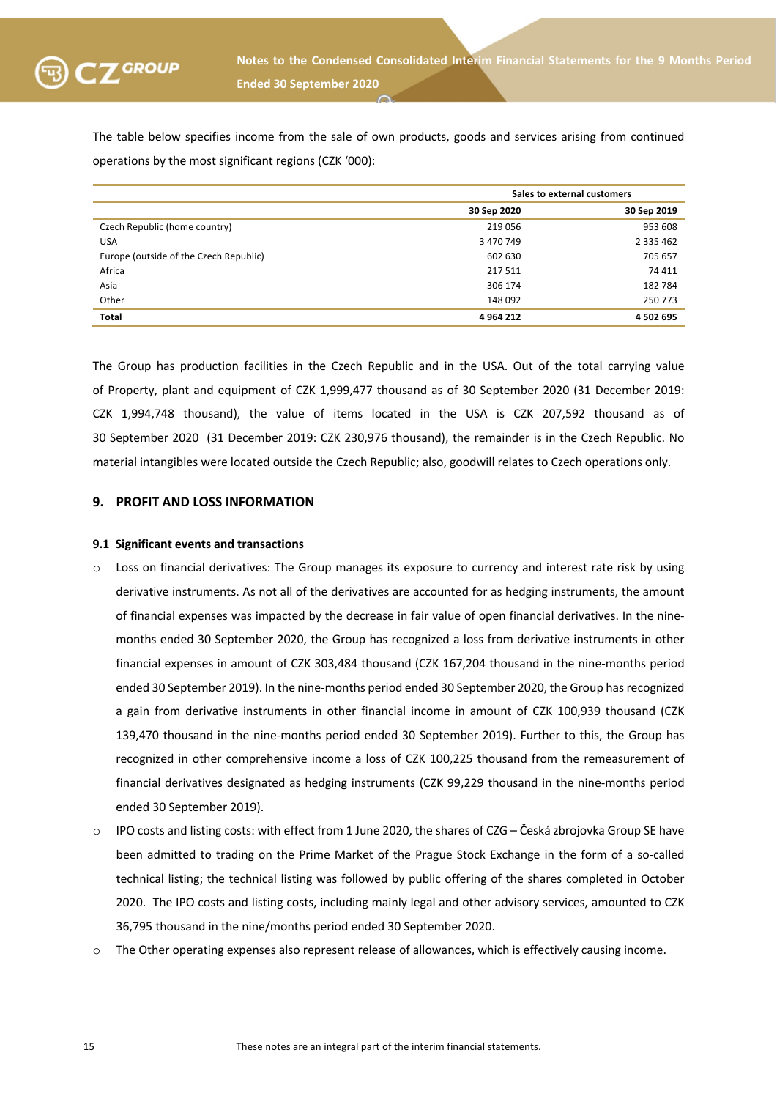

The table below specifies income from the sale of own products, goods and services arising from continued operations by the most significant regions (CZK '000):

|                                        | Sales to external customers |               |  |
|----------------------------------------|-----------------------------|---------------|--|
|                                        | 30 Sep 2020                 | 30 Sep 2019   |  |
| Czech Republic (home country)          | 219 056                     | 953 608       |  |
| <b>USA</b>                             | 3 470 749                   | 2 3 3 5 4 6 2 |  |
| Europe (outside of the Czech Republic) | 602 630                     | 705 657       |  |
| Africa                                 | 217 511                     | 74 411        |  |
| Asia                                   | 306 174                     | 182 784       |  |
| Other                                  | 148 092                     | 250 773       |  |
| <b>Total</b>                           | 4 9 64 212                  | 4 502 695     |  |

The Group has production facilities in the Czech Republic and in the USA. Out of the total carrying value of Property, plant and equipment of CZK 1,999,477 thousand as of 30 September 2020 (31 December 2019: CZK 1,994,748 thousand), the value of items located in the USA is CZK 207,592 thousand as of 30 September 2020 (31 December 2019: CZK 230,976 thousand), the remainder is in the Czech Republic. No material intangibles were located outside the Czech Republic; also, goodwill relates to Czech operations only.

#### **9. PROFIT AND LOSS INFORMATION**

#### **9.1 Significant events and transactions**

- o Loss on financial derivatives: The Group manages its exposure to currency and interest rate risk by using derivative instruments. As not all of the derivatives are accounted for as hedging instruments, the amount of financial expenses was impacted by the decrease in fair value of open financial derivatives. In the ninemonths ended 30 September 2020, the Group has recognized a loss from derivative instruments in other financial expenses in amount of CZK 303,484 thousand (CZK 167,204 thousand in the nine-months period ended 30 September 2019). In the nine-months period ended 30 September 2020, the Group has recognized a gain from derivative instruments in other financial income in amount of CZK 100,939 thousand (CZK 139,470 thousand in the nine-months period ended 30 September 2019). Further to this, the Group has recognized in other comprehensive income a loss of CZK 100,225 thousand from the remeasurement of financial derivatives designated as hedging instruments (CZK 99,229 thousand in the nine-months period ended 30 September 2019).
- IPO costs and listing costs: with effect from 1 June 2020, the shares of CZG Česká zbrojovka Group SE have been admitted to trading on the Prime Market of the Prague Stock Exchange in the form of a so-called technical listing; the technical listing was followed by public offering of the shares completed in October 2020. The IPO costs and listing costs, including mainly legal and other advisory services, amounted to CZK 36,795 thousand in the nine/months period ended 30 September 2020.
- o The Other operating expenses also represent release of allowances, which is effectively causing income.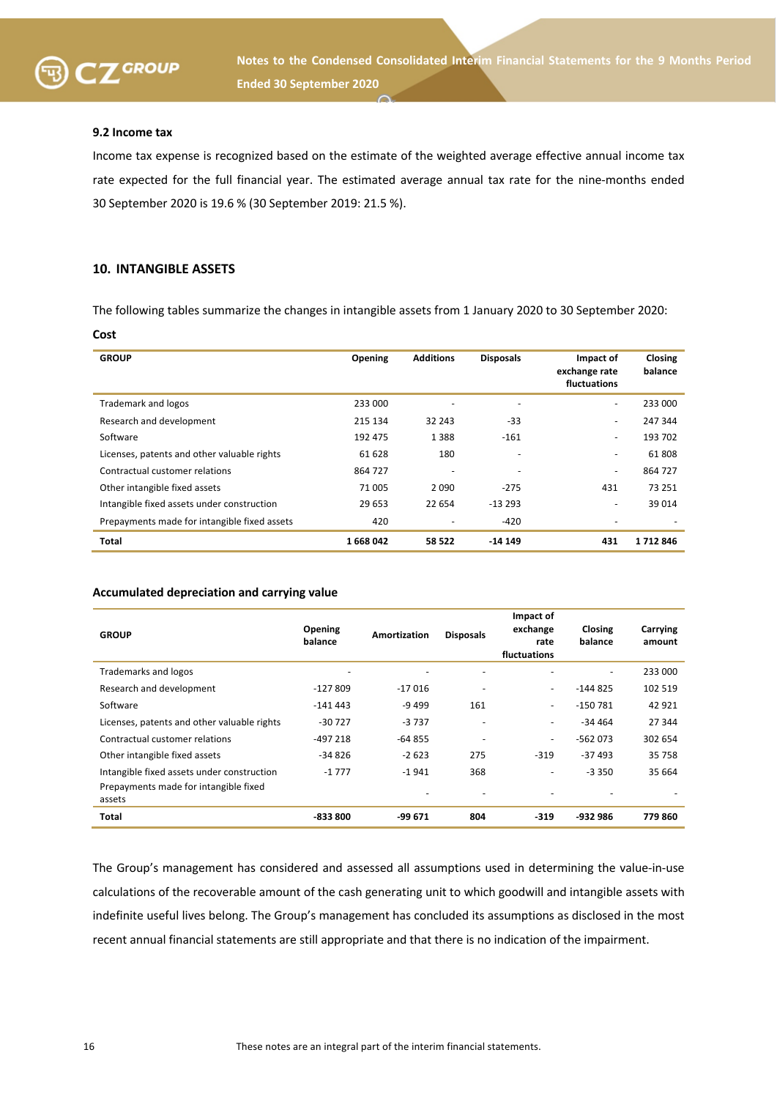

**SKUPINANotes to the Condensed Consolidated Interim Financial Statements for the 9 Months Period Ended 30 September 2020**

#### **9.2 Income tax**

Income tax expense is recognized based on the estimate of the weighted average effective annual income tax rate expected for the full financial year. The estimated average annual tax rate for the nine-months ended 30 September 2020 is 19.6 % (30 September 2019: 21.5 %).

#### **10. INTANGIBLE ASSETS**

The following tables summarize the changes in intangible assets from 1 January 2020 to 30 September 2020:

| Cost                                         |         |                          |                  |                                            |                    |
|----------------------------------------------|---------|--------------------------|------------------|--------------------------------------------|--------------------|
| <b>GROUP</b>                                 | Opening | <b>Additions</b>         | <b>Disposals</b> | Impact of<br>exchange rate<br>fluctuations | Closing<br>balance |
| Trademark and logos                          | 233 000 | ٠                        |                  | $\overline{\phantom{0}}$                   | 233 000            |
| Research and development                     | 215 134 | 32 243                   | $-33$            | ۰                                          | 247 344            |
| Software                                     | 192 475 | 1388                     | $-161$           | ۰                                          | 193 702            |
| Licenses, patents and other valuable rights  | 61 628  | 180                      |                  | $\overline{\phantom{0}}$                   | 61808              |
| Contractual customer relations               | 864 727 | $\overline{\phantom{0}}$ |                  | $\overline{\phantom{0}}$                   | 864 727            |
| Other intangible fixed assets                | 71 005  | 2090                     | $-275$           | 431                                        | 73 251             |
| Intangible fixed assets under construction   | 29 653  | 22 654                   | $-13293$         | ٠                                          | 39 014             |
| Prepayments made for intangible fixed assets | 420     | $\overline{a}$           | $-420$           |                                            |                    |
| Total                                        | 1668042 | 58 522                   | -14 149          | 431                                        | 1712846            |

#### **Accumulated depreciation and carrying value**

| <b>GROUP</b>                                                                                  | Opening<br>balance       | Amortization | <b>Disposals</b>         | Impact of<br>exchange<br>rate<br>fluctuations | <b>Closing</b><br>balance | Carrying<br>amount |
|-----------------------------------------------------------------------------------------------|--------------------------|--------------|--------------------------|-----------------------------------------------|---------------------------|--------------------|
| <b>Trademarks and logos</b>                                                                   | $\overline{\phantom{a}}$ | ٠            | $\overline{\phantom{0}}$ |                                               | ۰                         | 233 000            |
| Research and development                                                                      | $-127809$                | $-17016$     |                          | $\sim$                                        | $-144825$                 | 102 519            |
| Software                                                                                      | $-141443$                | -9 499       | 161                      | $\sim$                                        | -150 781                  | 42 921             |
| Licenses, patents and other valuable rights                                                   | $-30727$                 | $-3737$      |                          | $\overline{\phantom{a}}$                      | $-34464$                  | 27 344             |
| Contractual customer relations                                                                | $-497218$                | $-64855$     | $\overline{\phantom{a}}$ | $\overline{\phantom{a}}$                      | -562 073                  | 302 654            |
| Other intangible fixed assets                                                                 | $-34826$                 | $-2623$      | 275                      | $-319$                                        | $-37493$                  | 35 758             |
| Intangible fixed assets under construction<br>Prepayments made for intangible fixed<br>assets | $-1777$                  | $-1941$      | 368                      | $\overline{\phantom{a}}$                      | $-3350$                   | 35 664             |
| Total                                                                                         | -833 800                 | -99 671      | 804                      | $-319$                                        | -932 986                  | 779 860            |

The Group's management has considered and assessed all assumptions used in determining the value-in-use calculations of the recoverable amount of the cash generating unit to which goodwill and intangible assets with indefinite useful lives belong. The Group's management has concluded its assumptions as disclosed in the most recent annual financial statements are still appropriate and that there is no indication of the impairment.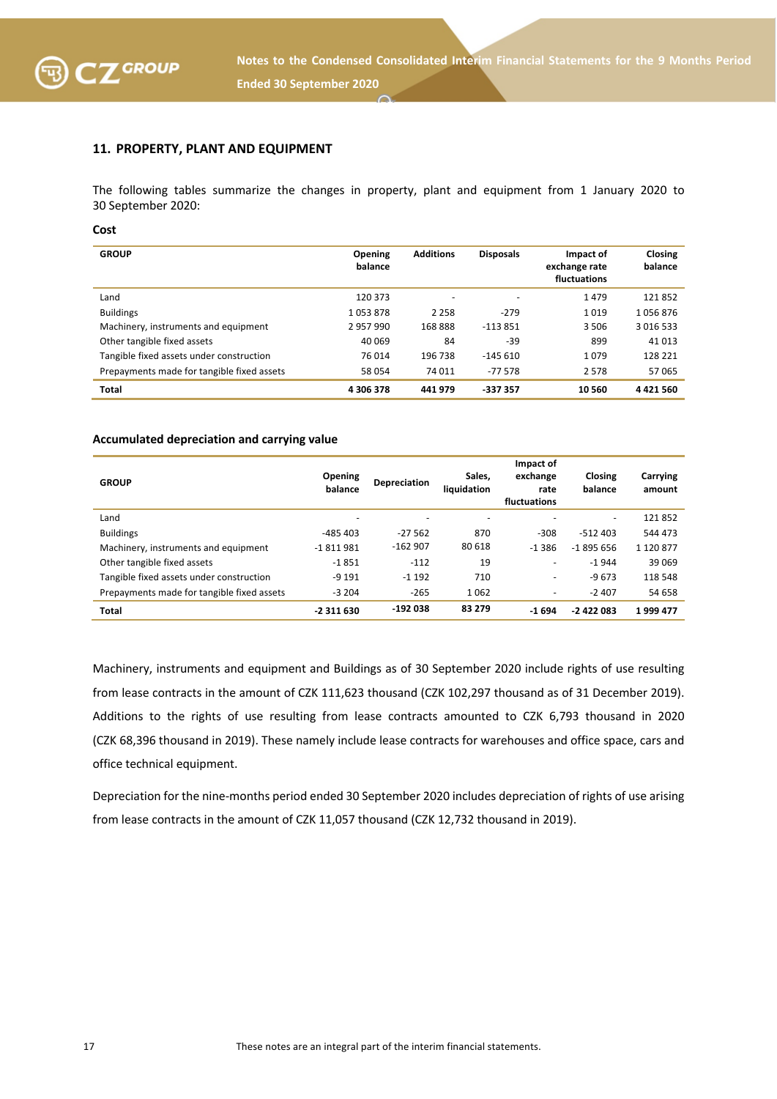

### **11. PROPERTY, PLANT AND EQUIPMENT**

The following tables summarize the changes in property, plant and equipment from 1 January 2020 to 30 September 2020:

**Cost**

| <b>GROUP</b>                               | <b>Opening</b><br>balance | <b>Additions</b> | <b>Disposals</b> | Impact of<br>exchange rate<br>fluctuations | Closing<br>balance |
|--------------------------------------------|---------------------------|------------------|------------------|--------------------------------------------|--------------------|
| Land                                       | 120 373                   | -                |                  | 1479                                       | 121852             |
| <b>Buildings</b>                           | 1053878                   | 2 2 5 8          | $-279$           | 1019                                       | 1056876            |
| Machinery, instruments and equipment       | 2957990                   | 168888           | $-113851$        | 3506                                       | 3 0 1 6 5 3 3      |
| Other tangible fixed assets                | 40 069                    | 84               | $-39$            | 899                                        | 41 0 13            |
| Tangible fixed assets under construction   | 76 014                    | 196 738          | $-145610$        | 1079                                       | 128 221            |
| Prepayments made for tangible fixed assets | 58 054                    | 74 011           | $-77578$         | 2578                                       | 57065              |
| <b>Total</b>                               | 4 306 378                 | 441 979          | -337 357         | 10 560                                     | 4421560            |

#### **Accumulated depreciation and carrying value**

| <b>GROUP</b>                               | Opening<br>balance | <b>Depreciation</b> | Sales.<br>liquidation | Impact of<br>exchange<br>rate<br>fluctuations | Closing<br>balance       | Carrying<br>amount |
|--------------------------------------------|--------------------|---------------------|-----------------------|-----------------------------------------------|--------------------------|--------------------|
| Land                                       | -                  | -                   |                       |                                               | $\overline{\phantom{a}}$ | 121852             |
| <b>Buildings</b>                           | $-485403$          | $-27562$            | 870                   | $-308$                                        | $-512403$                | 544 473            |
| Machinery, instruments and equipment       | -1811981           | $-162907$           | 80 618                | $-1.386$                                      | $-1895656$               | 1 1 2 0 8 7 7      |
| Other tangible fixed assets                | $-1851$            | $-112$              | 19                    | $\overline{\phantom{a}}$                      | $-1944$                  | 39 069             |
| Tangible fixed assets under construction   | $-9191$            | $-1192$             | 710                   | $\overline{\phantom{a}}$                      | $-9673$                  | 118 548            |
| Prepayments made for tangible fixed assets | $-3204$            | $-265$              | 1062                  | $\overline{\phantom{a}}$                      | $-2407$                  | 54 658             |
| <b>Total</b>                               | -2 311 630         | $-192038$           | 83 279                | $-1694$                                       | $-2422083$               | 1999 477           |

Machinery, instruments and equipment and Buildings as of 30 September 2020 include rights of use resulting from lease contracts in the amount of CZK 111,623 thousand (CZK 102,297 thousand as of 31 December 2019). Additions to the rights of use resulting from lease contracts amounted to CZK 6,793 thousand in 2020 (CZK 68,396 thousand in 2019). These namely include lease contracts for warehouses and office space, cars and office technical equipment.

Depreciation for the nine-months period ended 30 September 2020 includes depreciation of rights of use arising from lease contracts in the amount of CZK 11,057 thousand (CZK 12,732 thousand in 2019).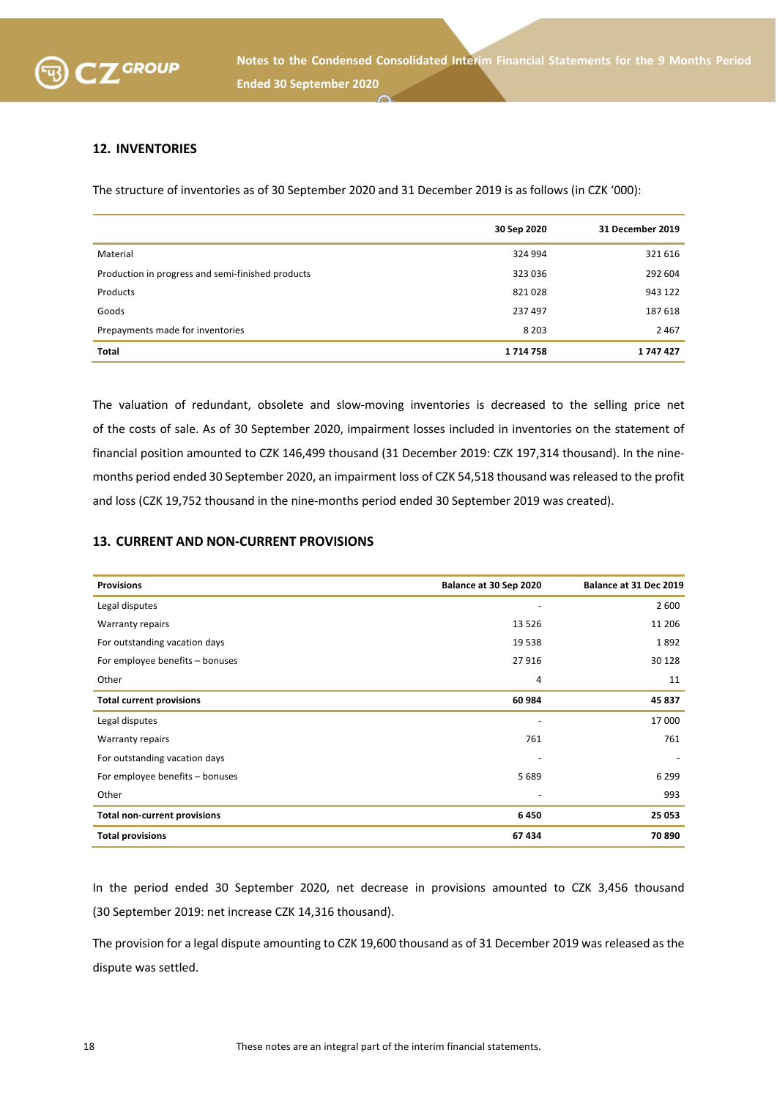

# **12. INVENTORIES**

The structure of inventories as of 30 September 2020 and 31 December 2019 is as follows (in CZK '000):

|                                                   | 30 Sep 2020 | 31 December 2019 |
|---------------------------------------------------|-------------|------------------|
| Material                                          | 324 994     | 321 616          |
| Production in progress and semi-finished products | 323 036     | 292 604          |
| Products                                          | 821028      | 943 122          |
| Goods                                             | 237 497     | 187 618          |
| Prepayments made for inventories                  | 8 2 0 3     | 2 4 6 7          |
| <b>Total</b>                                      | 1714758     | 1747427          |

The valuation of redundant, obsolete and slow-moving inventories is decreased to the selling price net of the costs of sale. As of 30 September 2020, impairment losses included in inventories on the statement of financial position amounted to CZK 146,499 thousand (31 December 2019: CZK 197,314 thousand). In the ninemonths period ended 30 September 2020, an impairment loss of CZK 54,518 thousand was released to the profit and loss (CZK 19,752 thousand in the nine-months period ended 30 September 2019 was created).

### **13. CURRENT AND NON-CURRENT PROVISIONS**

| <b>Provisions</b>                   | Balance at 30 Sep 2020   | Balance at 31 Dec 2019 |
|-------------------------------------|--------------------------|------------------------|
| Legal disputes                      | $\overline{\phantom{a}}$ | 2 600                  |
| <b>Warranty repairs</b>             | 13 5 26                  | 11 206                 |
| For outstanding vacation days       | 19 5 38                  | 1892                   |
| For employee benefits - bonuses     | 27 916                   | 30 128                 |
| Other                               | 4                        | 11                     |
| <b>Total current provisions</b>     | 60 984                   | 45 837                 |
| Legal disputes                      | $\overline{\phantom{a}}$ | 17 000                 |
| <b>Warranty repairs</b>             | 761                      | 761                    |
| For outstanding vacation days       | $\overline{\phantom{a}}$ |                        |
| For employee benefits - bonuses     | 5689                     | 6 2 9 9                |
| Other                               | $\overline{\phantom{a}}$ | 993                    |
| <b>Total non-current provisions</b> | 6450                     | 25 053                 |
| <b>Total provisions</b>             | 67434                    | 70 890                 |

In the period ended 30 September 2020, net decrease in provisions amounted to CZK 3,456 thousand (30 September 2019: net increase CZK 14,316 thousand).

The provision for a legal dispute amounting to CZK 19,600 thousand as of 31 December 2019 was released as the dispute was settled.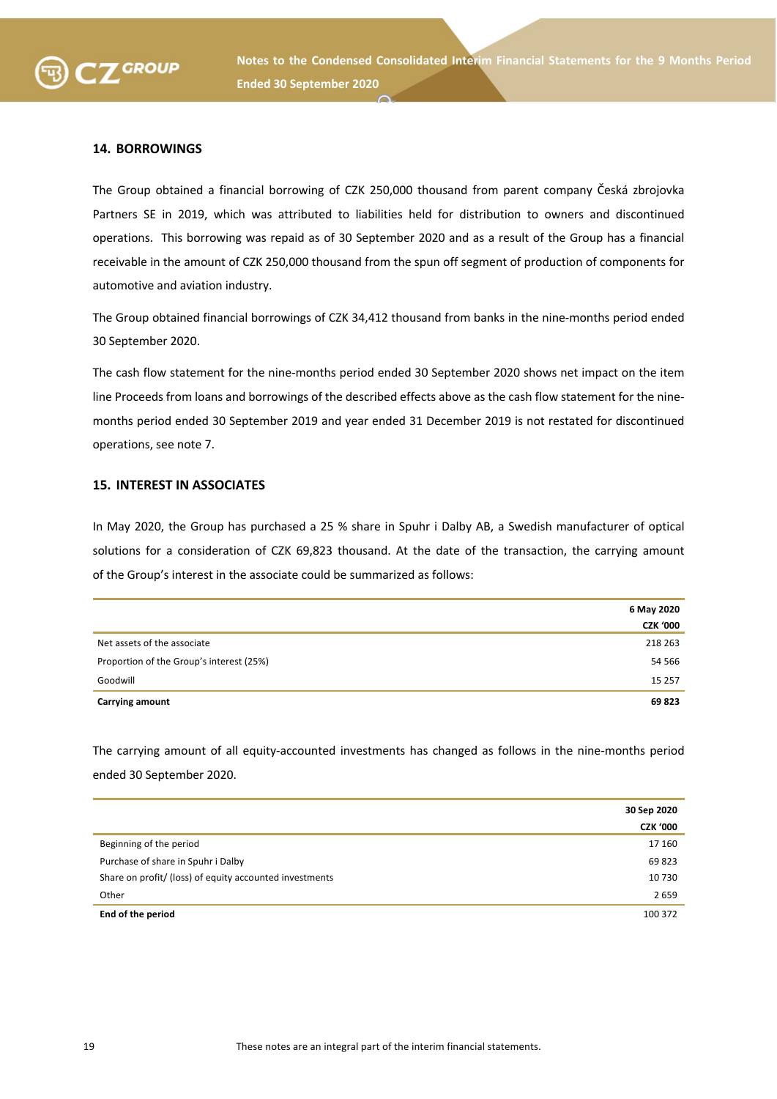

### **14. BORROWINGS**

The Group obtained a financial borrowing of CZK 250,000 thousand from parent company Česká zbrojovka Partners SE in 2019, which was attributed to liabilities held for distribution to owners and discontinued operations. This borrowing was repaid as of 30 September 2020 and as a result of the Group has a financial receivable in the amount of CZK 250,000 thousand from the spun off segment of production of components for automotive and aviation industry.

The Group obtained financial borrowings of CZK 34,412 thousand from banks in the nine-months period ended 30 September 2020.

The cash flow statement for the nine-months period ended 30 September 2020 shows net impact on the item line Proceeds from loans and borrowings of the described effects above as the cash flow statement for the ninemonths period ended 30 September 2019 and year ended 31 December 2019 is not restated for discontinued operations, see note 7.

#### **15. INTEREST IN ASSOCIATES**

In May 2020, the Group has purchased a 25 % share in Spuhr i Dalby AB, a Swedish manufacturer of optical solutions for a consideration of CZK 69,823 thousand. At the date of the transaction, the carrying amount of the Group's interest in the associate could be summarized as follows:

|                                          | 6 May 2020      |
|------------------------------------------|-----------------|
|                                          | <b>CZK '000</b> |
| Net assets of the associate              | 218 263         |
| Proportion of the Group's interest (25%) | 54 566          |
| Goodwill                                 | 15 2 5 7        |
| <b>Carrying amount</b>                   | 69823           |

The carrying amount of all equity-accounted investments has changed as follows in the nine-months period ended 30 September 2020.

|                                                         | 30 Sep 2020     |
|---------------------------------------------------------|-----------------|
|                                                         | <b>CZK '000</b> |
| Beginning of the period                                 | 17 160          |
| Purchase of share in Spuhr i Dalby                      | 69823           |
| Share on profit/ (loss) of equity accounted investments | 10730           |
| Other                                                   | 2659            |
| End of the period                                       | 100 372         |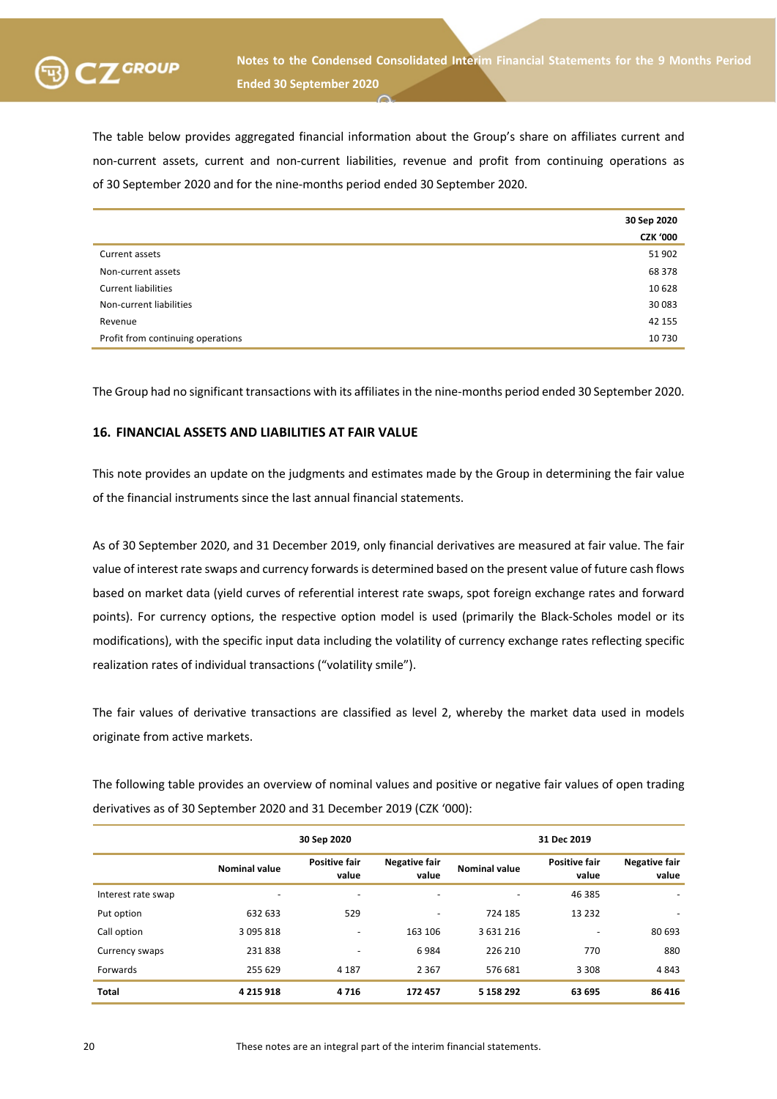

The table below provides aggregated financial information about the Group's share on affiliates current and non-current assets, current and non-current liabilities, revenue and profit from continuing operations as of 30 September 2020 and for the nine-months period ended 30 September 2020.

|                                   | 30 Sep 2020     |
|-----------------------------------|-----------------|
|                                   | <b>CZK '000</b> |
| Current assets                    | 51 902          |
| Non-current assets                | 68 378          |
| <b>Current liabilities</b>        | 10 628          |
| Non-current liabilities           | 30 083          |
| Revenue                           | 42 155          |
| Profit from continuing operations | 10 730          |

The Group had no significant transactions with its affiliates in the nine-months period ended 30 September 2020.

#### **16. FINANCIAL ASSETS AND LIABILITIES AT FAIR VALUE**

This note provides an update on the judgments and estimates made by the Group in determining the fair value of the financial instruments since the last annual financial statements.

As of 30 September 2020, and 31 December 2019, only financial derivatives are measured at fair value. The fair value of interest rate swaps and currency forwards is determined based on the present value of future cash flows based on market data (yield curves of referential interest rate swaps, spot foreign exchange rates and forward points). For currency options, the respective option model is used (primarily the Black-Scholes model or its modifications), with the specific input data including the volatility of currency exchange rates reflecting specific realization rates of individual transactions ("volatility smile").

The fair values of derivative transactions are classified as level 2, whereby the market data used in models originate from active markets.

The following table provides an overview of nominal values and positive or negative fair values of open trading derivatives as of 30 September 2020 and 31 December 2019 (CZK '000):

|                    | 30 Sep 2020              |                               |                               |                      | 31 Dec 2019                   |                               |
|--------------------|--------------------------|-------------------------------|-------------------------------|----------------------|-------------------------------|-------------------------------|
|                    | <b>Nominal value</b>     | <b>Positive fair</b><br>value | <b>Negative fair</b><br>value | <b>Nominal value</b> | <b>Positive fair</b><br>value | <b>Negative fair</b><br>value |
| Interest rate swap | $\overline{\phantom{0}}$ | $\overline{\phantom{a}}$      | $\overline{\phantom{0}}$      |                      | 46 385                        |                               |
| Put option         | 632 633                  | 529                           | $\overline{\phantom{0}}$      | 724 185              | 13 2 32                       |                               |
| Call option        | 3 095 818                | $\overline{\phantom{a}}$      | 163 106                       | 3 631 216            |                               | 80 693                        |
| Currency swaps     | 231838                   | ٠                             | 6984                          | 226 210              | 770                           | 880                           |
| Forwards           | 255 629                  | 4 1 8 7                       | 2 3 6 7                       | 576 681              | 3 3 0 8                       | 4843                          |
| <b>Total</b>       | 4 2 1 5 9 1 8            | 4716                          | 172 457                       | 5 158 292            | 63 695                        | 86 416                        |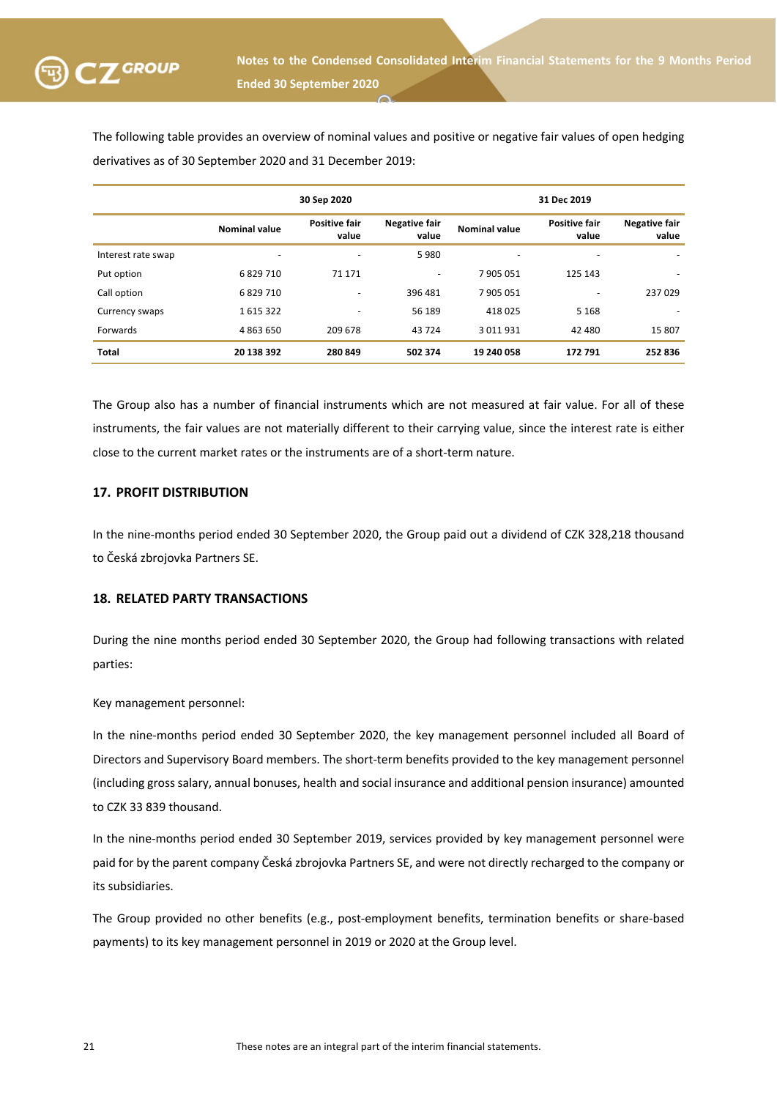

The following table provides an overview of nominal values and positive or negative fair values of open hedging derivatives as of 30 September 2020 and 31 December 2019:

|                    | 30 Sep 2020              |                               |                               |                      | 31 Dec 2019                   |                               |
|--------------------|--------------------------|-------------------------------|-------------------------------|----------------------|-------------------------------|-------------------------------|
|                    | <b>Nominal value</b>     | <b>Positive fair</b><br>value | <b>Negative fair</b><br>value | <b>Nominal value</b> | <b>Positive fair</b><br>value | <b>Negative fair</b><br>value |
| Interest rate swap | $\overline{\phantom{0}}$ | $\overline{\phantom{0}}$      | 5980                          | -                    | $\overline{\phantom{0}}$      |                               |
| Put option         | 6829710                  | 71 171                        | ۰                             | 7905051              | 125 143                       |                               |
| Call option        | 6829710                  | $\overline{\phantom{0}}$      | 396 481                       | 7905051              |                               | 237 029                       |
| Currency swaps     | 1615322                  | $\overline{\phantom{0}}$      | 56 189                        | 418 025              | 5 1 6 8                       |                               |
| Forwards           | 4863650                  | 209 678                       | 43 724                        | 3 0 1 1 9 3 1        | 42 480                        | 15 807                        |
| <b>Total</b>       | 20 138 392               | 280 849                       | 502 374                       | 19 240 058           | 172 791                       | 252 836                       |

The Group also has a number of financial instruments which are not measured at fair value. For all of these instruments, the fair values are not materially different to their carrying value, since the interest rate is either close to the current market rates or the instruments are of a short-term nature.

### **17. PROFIT DISTRIBUTION**

In the nine-months period ended 30 September 2020, the Group paid out a dividend of CZK 328,218 thousand to Česká zbrojovka Partners SE.

### **18. RELATED PARTY TRANSACTIONS**

During the nine months period ended 30 September 2020, the Group had following transactions with related parties:

Key management personnel:

In the nine-months period ended 30 September 2020, the key management personnel included all Board of Directors and Supervisory Board members. The short-term benefits provided to the key management personnel (including gross salary, annual bonuses, health and social insurance and additional pension insurance) amounted to CZK 33 839 thousand.

In the nine-months period ended 30 September 2019, services provided by key management personnel were paid for by the parent company Česká zbrojovka Partners SE, and were not directly recharged to the company or its subsidiaries.

The Group provided no other benefits (e.g., post-employment benefits, termination benefits or share-based payments) to its key management personnel in 2019 or 2020 at the Group level.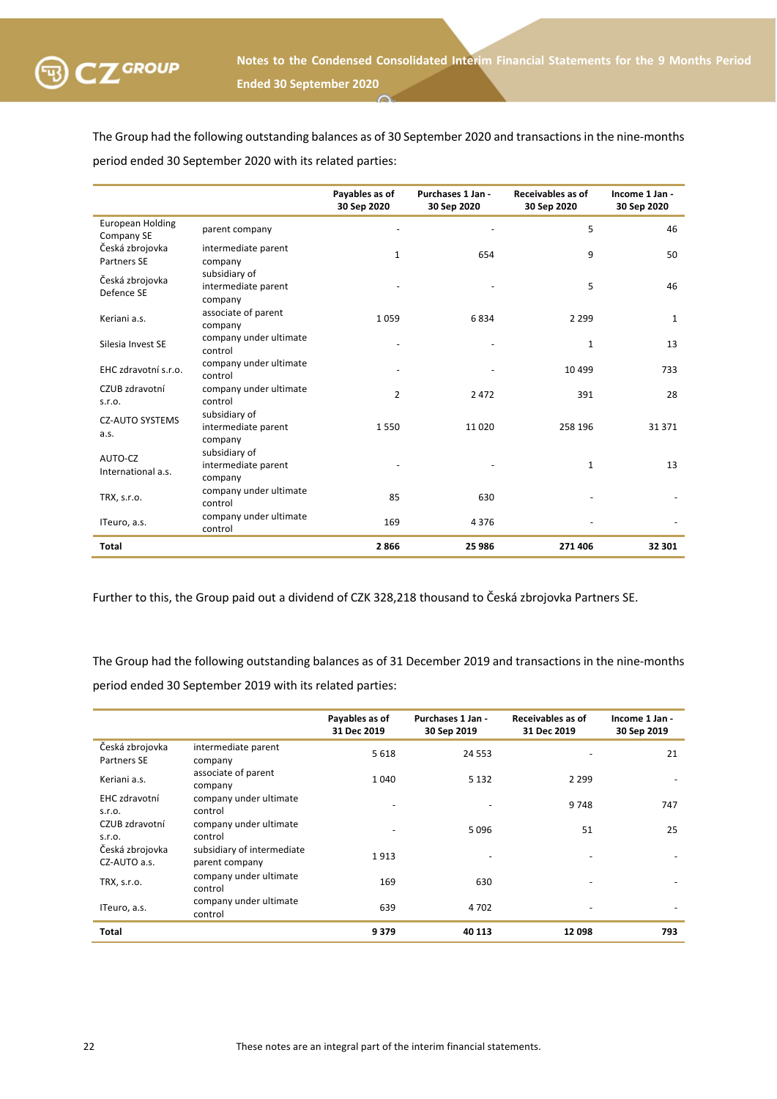

The Group had the following outstanding balances as of 30 September 2020 and transactions in the nine-months period ended 30 September 2020 with its related parties:

|                                       |                                                 | Payables as of<br>30 Sep 2020 | Purchases 1 Jan -<br>30 Sep 2020 | Receivables as of<br>30 Sep 2020 | Income 1 Jan -<br>30 Sep 2020 |
|---------------------------------------|-------------------------------------------------|-------------------------------|----------------------------------|----------------------------------|-------------------------------|
| <b>European Holding</b><br>Company SE | parent company                                  |                               |                                  | 5                                | 46                            |
| Česká zbrojovka<br>Partners SE        | intermediate parent<br>company                  | 1                             | 654                              | 9                                | 50                            |
| Česká zbrojovka<br>Defence SE         | subsidiary of<br>intermediate parent<br>company |                               |                                  | 5                                | 46                            |
| Keriani a.s.                          | associate of parent<br>company                  | 1059                          | 6834                             | 2 2 9 9                          | $\mathbf{1}$                  |
| Silesia Invest SE                     | company under ultimate<br>control               |                               |                                  | $\mathbf{1}$                     | 13                            |
| EHC zdravotní s.r.o.                  | company under ultimate<br>control               |                               |                                  | 10 4 9 9                         | 733                           |
| CZUB zdravotní<br>S.F.O.              | company under ultimate<br>control               | $\overline{2}$                | 2 4 7 2                          | 391                              | 28                            |
| <b>CZ-AUTO SYSTEMS</b><br>a.s.        | subsidiary of<br>intermediate parent<br>company | 1550                          | 11020                            | 258 196                          | 31 371                        |
| AUTO-CZ<br>International a.s.         | subsidiary of<br>intermediate parent<br>company |                               |                                  | 1                                | 13                            |
| TRX, s.r.o.                           | company under ultimate<br>control               | 85                            | 630                              |                                  |                               |
| ITeuro, a.s.                          | company under ultimate<br>control               | 169                           | 4376                             |                                  |                               |
| Total                                 |                                                 | 2866                          | 25 986                           | 271 406                          | 32 301                        |

Further to this, the Group paid out a dividend of CZK 328,218 thousand to Česká zbrojovka Partners SE.

The Group had the following outstanding balances as of 31 December 2019 and transactions in the nine-months period ended 30 September 2019 with its related parties:

|                                 |                                              | Payables as of<br>31 Dec 2019 | Purchases 1 Jan -<br>30 Sep 2019 | Receivables as of<br>31 Dec 2019 | Income 1 Jan -<br>30 Sep 2019 |
|---------------------------------|----------------------------------------------|-------------------------------|----------------------------------|----------------------------------|-------------------------------|
| Česká zbrojovka<br>Partners SE  | intermediate parent<br>company               | 5 6 1 8                       | 24 5 53                          |                                  | 21                            |
| Keriani a.s.                    | associate of parent<br>company               | 1040                          | 5 1 3 2                          | 2 2 9 9                          |                               |
| EHC zdravotní<br>S.F.O.         | company under ultimate<br>control            |                               |                                  | 9748                             | 747                           |
| CZUB zdravotní<br>S.F.O.        | company under ultimate<br>control            |                               | 5096                             | 51                               | 25                            |
| Česká zbrojovka<br>CZ-AUTO a.s. | subsidiary of intermediate<br>parent company | 1913                          |                                  |                                  |                               |
| TRX, s.r.o.                     | company under ultimate<br>control            | 169                           | 630                              |                                  |                               |
| ITeuro, a.s.                    | company under ultimate<br>control            | 639                           | 4702                             |                                  |                               |
| <b>Total</b>                    |                                              | 9379                          | 40 113                           | 12 098                           | 793                           |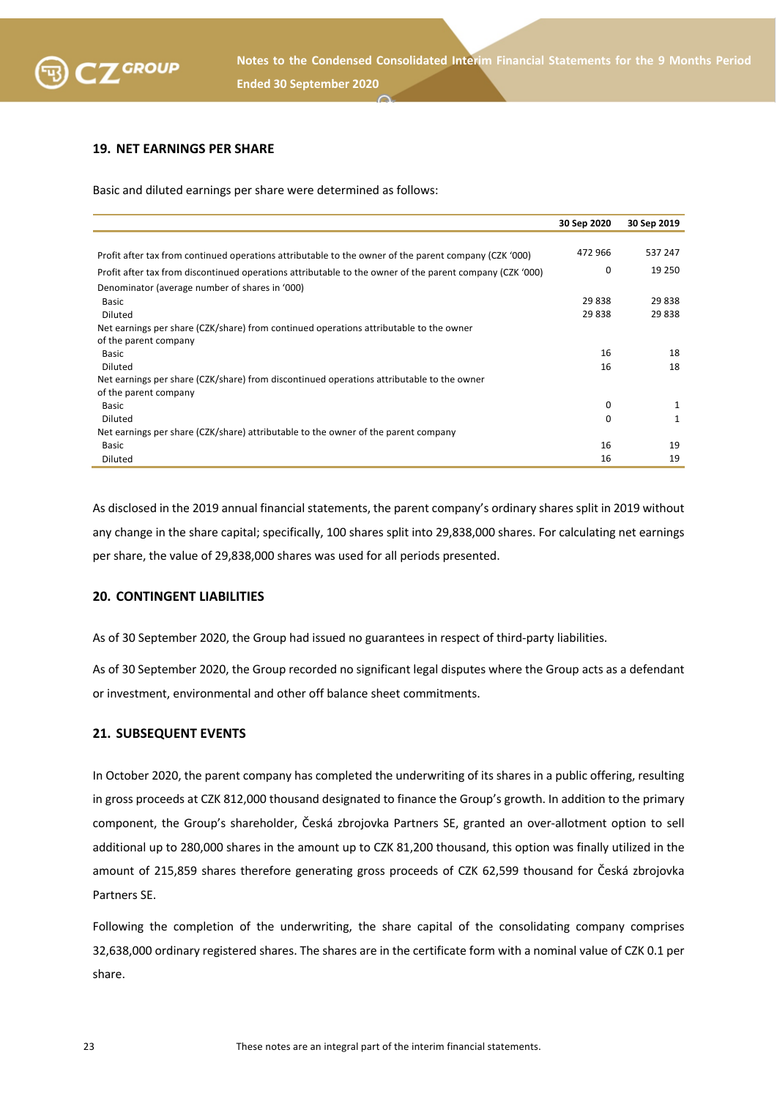

### **19. NET EARNINGS PER SHARE**

Basic and diluted earnings per share were determined as follows:

|                                                                                                          | 30 Sep 2020 | 30 Sep 2019 |
|----------------------------------------------------------------------------------------------------------|-------------|-------------|
|                                                                                                          |             |             |
| Profit after tax from continued operations attributable to the owner of the parent company (CZK '000)    | 472 966     | 537 247     |
| Profit after tax from discontinued operations attributable to the owner of the parent company (CZK '000) | 0           | 19 250      |
| Denominator (average number of shares in '000)                                                           |             |             |
| <b>Basic</b>                                                                                             | 29838       | 29 838      |
| Diluted                                                                                                  | 29838       | 29 838      |
| Net earnings per share (CZK/share) from continued operations attributable to the owner                   |             |             |
| of the parent company                                                                                    |             |             |
| <b>Basic</b>                                                                                             | 16          | 18          |
| Diluted                                                                                                  | 16          | 18          |
| Net earnings per share (CZK/share) from discontinued operations attributable to the owner                |             |             |
| of the parent company                                                                                    |             |             |
| <b>Basic</b>                                                                                             | 0           | 1           |
| Diluted                                                                                                  | 0           | 1           |
| Net earnings per share (CZK/share) attributable to the owner of the parent company                       |             |             |
| <b>Basic</b>                                                                                             | 16          | 19          |
| Diluted                                                                                                  | 16          | 19          |

As disclosed in the 2019 annual financial statements, the parent company's ordinary shares split in 2019 without any change in the share capital; specifically, 100 shares split into 29,838,000 shares. For calculating net earnings per share, the value of 29,838,000 shares was used for all periods presented.

#### **20. CONTINGENT LIABILITIES**

As of 30 September 2020, the Group had issued no guarantees in respect of third-party liabilities.

As of 30 September 2020, the Group recorded no significant legal disputes where the Group acts as a defendant or investment, environmental and other off balance sheet commitments.

### **21. SUBSEQUENT EVENTS**

In October 2020, the parent company has completed the underwriting of its shares in a public offering, resulting in gross proceeds at CZK 812,000 thousand designated to finance the Group's growth. In addition to the primary component, the Group's shareholder, Česká zbrojovka Partners SE, granted an over-allotment option to sell additional up to 280,000 shares in the amount up to CZK 81,200 thousand, this option was finally utilized in the amount of 215,859 shares therefore generating gross proceeds of CZK 62,599 thousand for Česká zbrojovka Partners SE.

Following the completion of the underwriting, the share capital of the consolidating company comprises 32,638,000 ordinary registered shares. The shares are in the certificate form with a nominal value of CZK 0.1 per share.